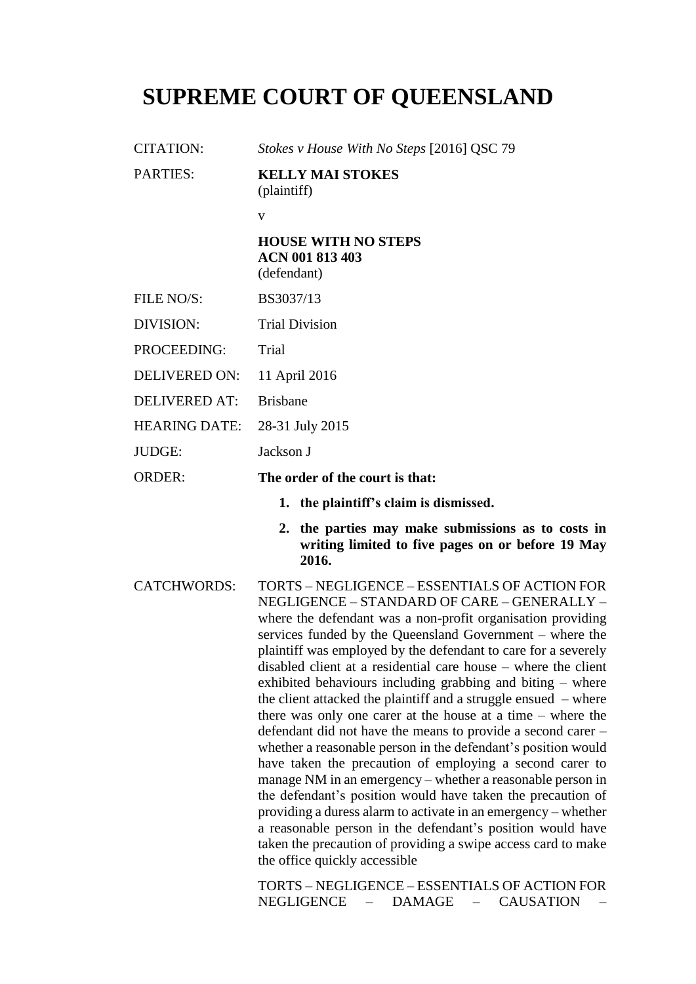# **SUPREME COURT OF QUEENSLAND**

CITATION: *Stokes v House With No Steps* [2016] QSC 79 PARTIES: **KELLY MAI STOKES** (plaintiff) v **HOUSE WITH NO STEPS ACN 001 813 403** (defendant) FILE NO/S: BS3037/13 DIVISION: Trial Division PROCEEDING: Trial DELIVERED ON: 11 April 2016 DELIVERED AT: Brisbane HEARING DATE: 28-31 July 2015 JUDGE: Jackson J ORDER: **The order of the court is that: 1. the plaintiff's claim is dismissed. 2. the parties may make submissions as to costs in writing limited to five pages on or before 19 May 2016.** CATCHWORDS: TORTS – NEGLIGENCE – ESSENTIALS OF ACTION FOR NEGLIGENCE – STANDARD OF CARE – GENERALLY – where the defendant was a non-profit organisation providing services funded by the Queensland Government – where the plaintiff was employed by the defendant to care for a severely disabled client at a residential care house – where the client exhibited behaviours including grabbing and biting – where the client attacked the plaintiff and a struggle ensued – where there was only one carer at the house at a time – where the defendant did not have the means to provide a second carer – whether a reasonable person in the defendant's position would have taken the precaution of employing a second carer to manage NM in an emergency – whether a reasonable person in the defendant's position would have taken the precaution of providing a duress alarm to activate in an emergency – whether a reasonable person in the defendant's position would have taken the precaution of providing a swipe access card to make the office quickly accessible

> TORTS – NEGLIGENCE – ESSENTIALS OF ACTION FOR NEGLIGENCE – DAMAGE – CAUSATION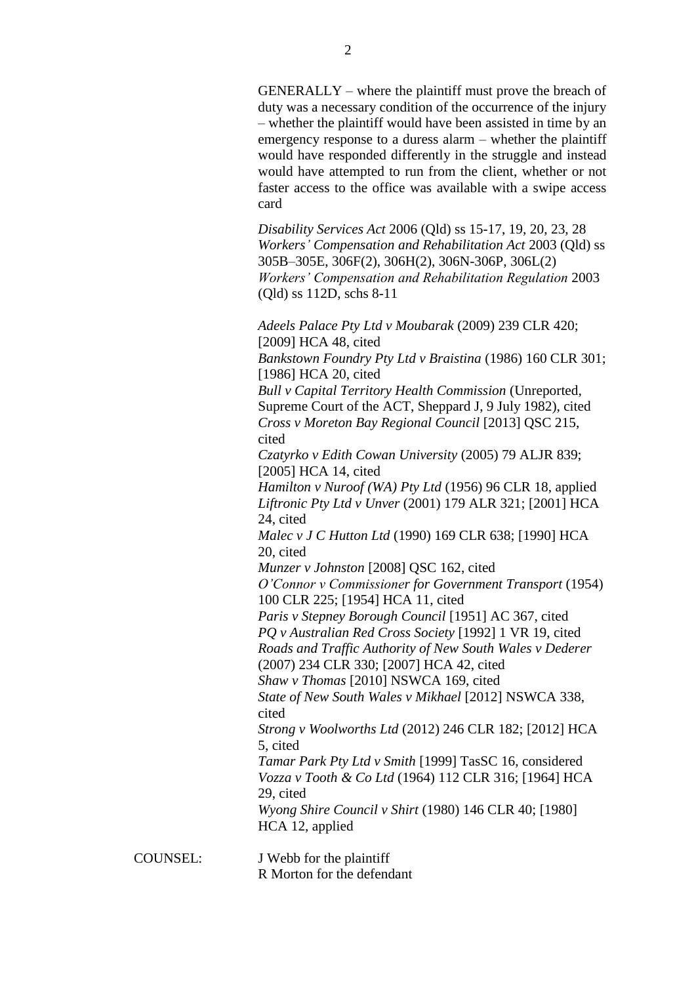GENERALLY – where the plaintiff must prove the breach of duty was a necessary condition of the occurrence of the injury – whether the plaintiff would have been assisted in time by an emergency response to a duress alarm – whether the plaintiff would have responded differently in the struggle and instead would have attempted to run from the client, whether or not faster access to the office was available with a swipe access card

*Disability Services Act* 2006 (Qld) ss 15-17, 19, 20, 23, 28 *Workers' Compensation and Rehabilitation Act* 2003 (Qld) ss 305B–305E, 306F(2), 306H(2), 306N-306P, 306L(2) *Workers' Compensation and Rehabilitation Regulation* 2003 (Qld) ss 112D, schs 8-11

*Adeels Palace Pty Ltd v Moubarak* (2009) 239 CLR 420; [2009] HCA 48, cited *Bankstown Foundry Pty Ltd v Braistina* (1986) 160 CLR 301; [1986] HCA 20, cited *Bull v Capital Territory Health Commission* (Unreported, Supreme Court of the ACT, Sheppard J, 9 July 1982), cited *Cross v Moreton Bay Regional Council* [2013] QSC 215, cited *Czatyrko v Edith Cowan University* (2005) 79 ALJR 839; [2005] HCA 14, cited *Hamilton v Nuroof (WA) Pty Ltd* (1956) 96 CLR 18, applied *Liftronic Pty Ltd v Unver* (2001) 179 ALR 321; [2001] HCA 24, cited *Malec v J C Hutton Ltd* (1990) 169 CLR 638; [1990] HCA 20, cited *Munzer v Johnston* [2008] QSC 162, cited *O'Connor v Commissioner for Government Transport* (1954) 100 CLR 225; [1954] HCA 11, cited *Paris v Stepney Borough Council* [1951] AC 367, cited *PQ v Australian Red Cross Society* [1992] 1 VR 19, cited *Roads and Traffic Authority of New South Wales v Dederer*  (2007) 234 CLR 330; [2007] HCA 42, cited *Shaw v Thomas* [2010] NSWCA 169, cited *State of New South Wales v Mikhael* [2012] NSWCA 338, cited *Strong v Woolworths Ltd* (2012) 246 CLR 182; [2012] HCA 5, cited *Tamar Park Pty Ltd v Smith* [1999] TasSC 16, considered *Vozza v Tooth & Co Ltd* (1964) 112 CLR 316; [1964] HCA 29, cited *Wyong Shire Council v Shirt* (1980) 146 CLR 40; [1980] HCA 12, applied

COUNSEL: J Webb for the plaintiff R Morton for the defendant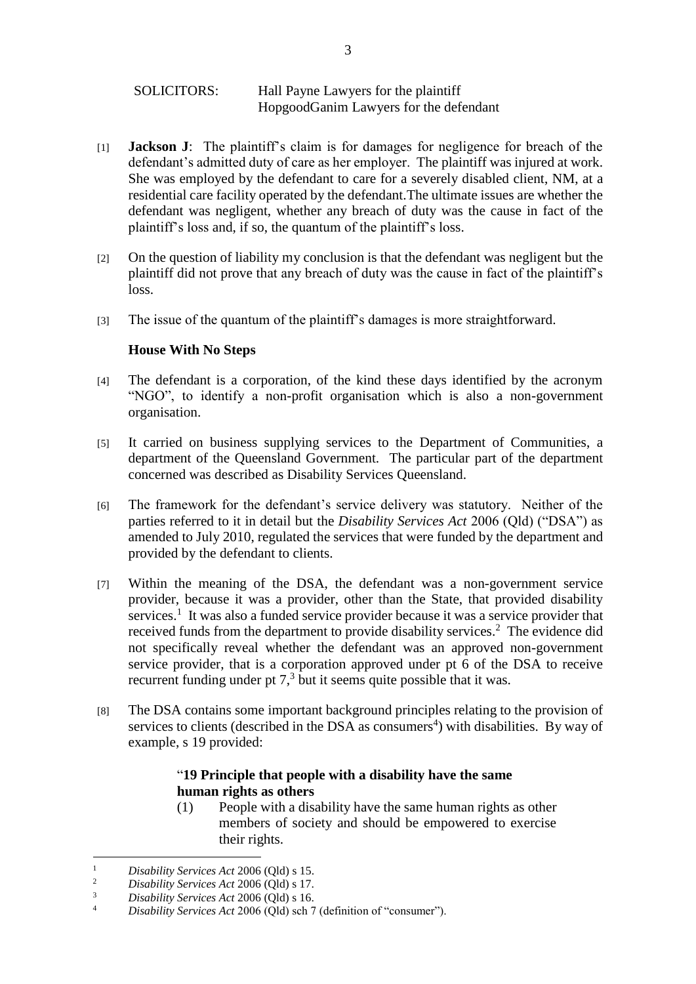- [1] **Jackson J**: The plaintiff's claim is for damages for negligence for breach of the defendant's admitted duty of care as her employer. The plaintiff was injured at work. She was employed by the defendant to care for a severely disabled client, NM, at a residential care facility operated by the defendant.The ultimate issues are whether the defendant was negligent, whether any breach of duty was the cause in fact of the plaintiff's loss and, if so, the quantum of the plaintiff's loss.
- [2] On the question of liability my conclusion is that the defendant was negligent but the plaintiff did not prove that any breach of duty was the cause in fact of the plaintiff's loss.
- [3] The issue of the quantum of the plaintiff's damages is more straightforward.

# **House With No Steps**

- [4] The defendant is a corporation, of the kind these days identified by the acronym "NGO", to identify a non-profit organisation which is also a non-government organisation.
- [5] It carried on business supplying services to the Department of Communities, a department of the Queensland Government. The particular part of the department concerned was described as Disability Services Queensland.
- [6] The framework for the defendant's service delivery was statutory. Neither of the parties referred to it in detail but the *Disability Services Act* 2006 (Qld) ("DSA") as amended to July 2010, regulated the services that were funded by the department and provided by the defendant to clients.
- [7] Within the meaning of the DSA, the defendant was a non-government service provider, because it was a provider, other than the State, that provided disability services.<sup>1</sup> It was also a funded service provider because it was a service provider that received funds from the department to provide disability services.<sup>2</sup> The evidence did not specifically reveal whether the defendant was an approved non-government service provider, that is a corporation approved under pt 6 of the DSA to receive recurrent funding under pt  $7<sup>3</sup>$  but it seems quite possible that it was.
- [8] The DSA contains some important background principles relating to the provision of services to clients (described in the DSA as consumers<sup>4</sup>) with disabilities. By way of example, s 19 provided:

# "**19 Principle that people with a disability have the same human rights as others**

(1) People with a disability have the same human rights as other members of society and should be empowered to exercise their rights.

 $\mathbf{1}$ <sup>1</sup> *Disability Services Act* 2006 (Qld) s 15.<br><sup>2</sup> *Disability Services Act* 2006 (Old) s 17

<sup>&</sup>lt;sup>2</sup> *Disability Services Act* 2006 (Qld) s 17.

<sup>3</sup> *Disability Services Act* 2006 (Qld) s 16.

<sup>4</sup> *Disability Services Act* 2006 (Qld) sch 7 (definition of "consumer").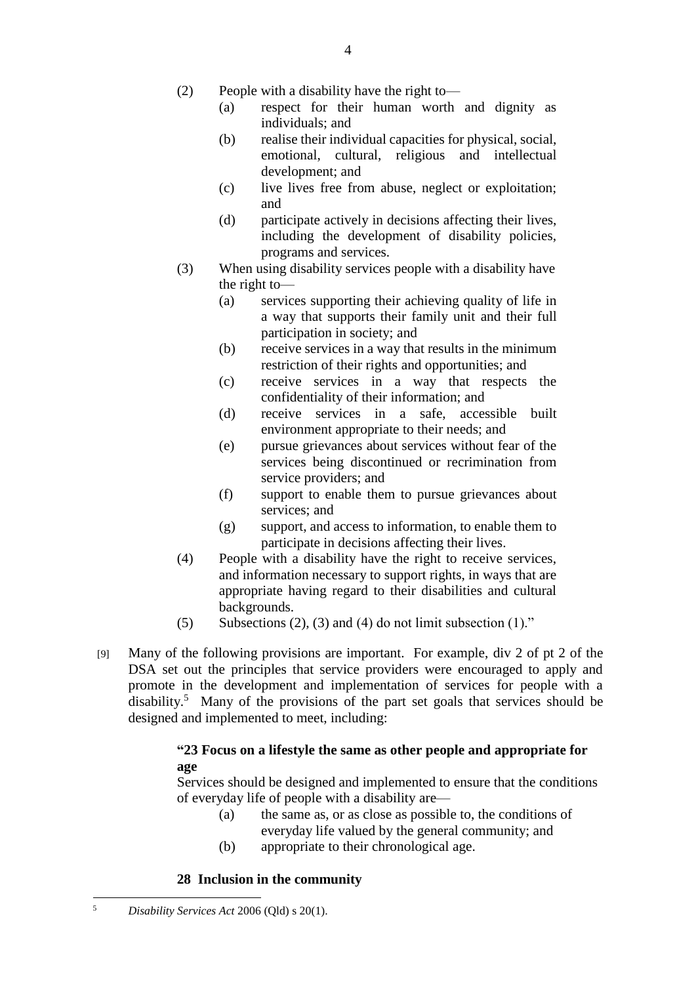- (2) People with a disability have the right to—
	- (a) respect for their human worth and dignity as individuals; and
	- (b) realise their individual capacities for physical, social, emotional, cultural, religious and intellectual development; and
	- (c) live lives free from abuse, neglect or exploitation; and
	- (d) participate actively in decisions affecting their lives, including the development of disability policies, programs and services.
- (3) When using disability services people with a disability have the right to—
	- (a) services supporting their achieving quality of life in a way that supports their family unit and their full participation in society; and
	- (b) receive services in a way that results in the minimum restriction of their rights and opportunities; and
	- (c) receive services in a way that respects the confidentiality of their information; and
	- (d) receive services in a safe, accessible built environment appropriate to their needs; and
	- (e) pursue grievances about services without fear of the services being discontinued or recrimination from service providers; and
	- (f) support to enable them to pursue grievances about services; and
	- (g) support, and access to information, to enable them to participate in decisions affecting their lives.
- (4) People with a disability have the right to receive services, and information necessary to support rights, in ways that are appropriate having regard to their disabilities and cultural backgrounds.
- (5) Subsections (2), (3) and (4) do not limit subsection  $(1)$ ."
- [9] Many of the following provisions are important. For example, div 2 of pt 2 of the DSA set out the principles that service providers were encouraged to apply and promote in the development and implementation of services for people with a disability. <sup>5</sup> Many of the provisions of the part set goals that services should be designed and implemented to meet, including:

# **"23 Focus on a lifestyle the same as other people and appropriate for age**

Services should be designed and implemented to ensure that the conditions of everyday life of people with a disability are—

- (a) the same as, or as close as possible to, the conditions of everyday life valued by the general community; and
- (b) appropriate to their chronological age.

# **28 Inclusion in the community**

1

<sup>5</sup> *Disability Services Act* 2006 (Qld) s 20(1).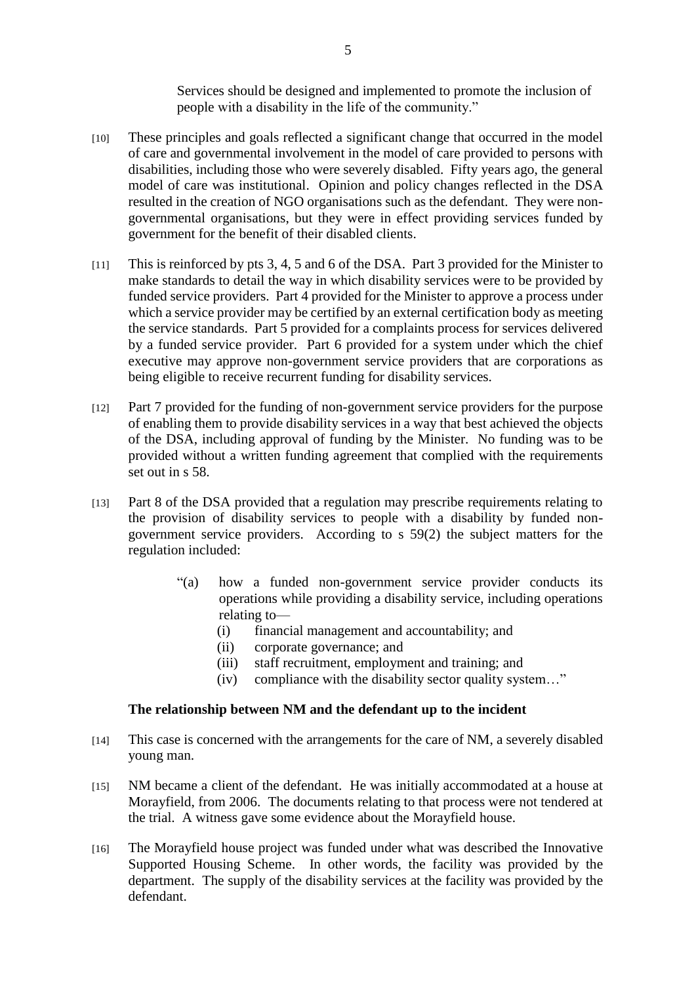Services should be designed and implemented to promote the inclusion of people with a disability in the life of the community."

- [10] These principles and goals reflected a significant change that occurred in the model of care and governmental involvement in the model of care provided to persons with disabilities, including those who were severely disabled. Fifty years ago, the general model of care was institutional. Opinion and policy changes reflected in the DSA resulted in the creation of NGO organisations such as the defendant. They were nongovernmental organisations, but they were in effect providing services funded by government for the benefit of their disabled clients.
- [11] This is reinforced by pts 3, 4, 5 and 6 of the DSA. Part 3 provided for the Minister to make standards to detail the way in which disability services were to be provided by funded service providers. Part 4 provided for the Minister to approve a process under which a service provider may be certified by an external certification body as meeting the service standards. Part 5 provided for a complaints process for services delivered by a funded service provider. Part 6 provided for a system under which the chief executive may approve non-government service providers that are corporations as being eligible to receive recurrent funding for disability services.
- [12] Part 7 provided for the funding of non-government service providers for the purpose of enabling them to provide disability services in a way that best achieved the objects of the DSA, including approval of funding by the Minister. No funding was to be provided without a written funding agreement that complied with the requirements set out in s 58.
- [13] Part 8 of the DSA provided that a regulation may prescribe requirements relating to the provision of disability services to people with a disability by funded nongovernment service providers. According to s 59(2) the subject matters for the regulation included:
	- "(a) how a funded non-government service provider conducts its operations while providing a disability service, including operations relating to—
		- (i) financial management and accountability; and
		- (ii) corporate governance; and
		- (iii) staff recruitment, employment and training; and
		- (iv) compliance with the disability sector quality system…"

#### **The relationship between NM and the defendant up to the incident**

- [14] This case is concerned with the arrangements for the care of NM, a severely disabled young man.
- [15] NM became a client of the defendant. He was initially accommodated at a house at Morayfield, from 2006. The documents relating to that process were not tendered at the trial. A witness gave some evidence about the Morayfield house.
- [16] The Morayfield house project was funded under what was described the Innovative Supported Housing Scheme. In other words, the facility was provided by the department. The supply of the disability services at the facility was provided by the defendant.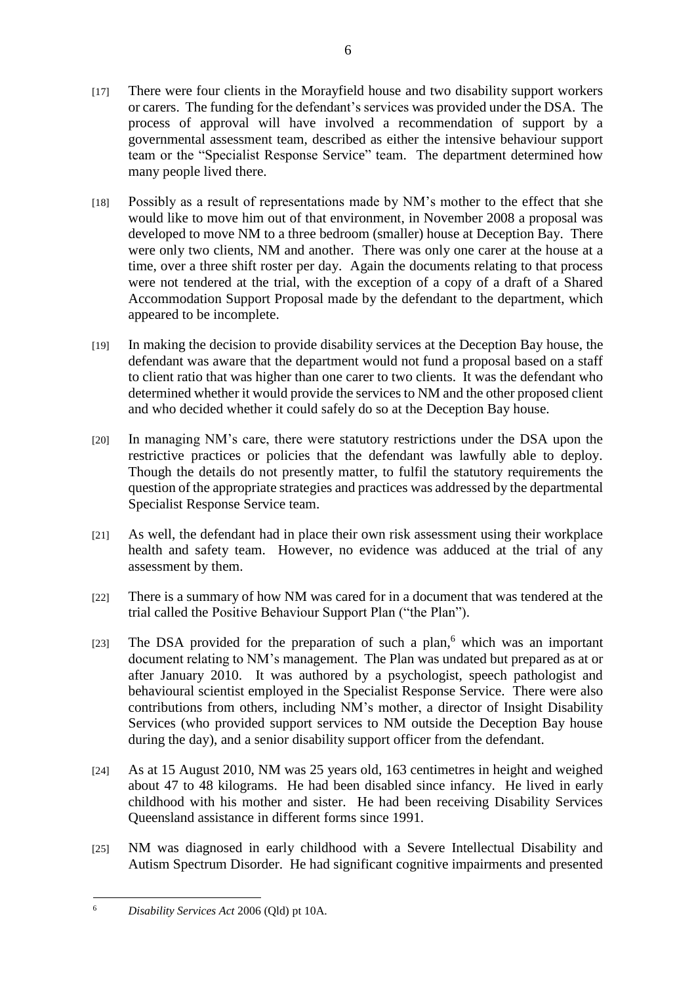- [17] There were four clients in the Morayfield house and two disability support workers or carers. The funding for the defendant's services was provided under the DSA. The process of approval will have involved a recommendation of support by a governmental assessment team, described as either the intensive behaviour support team or the "Specialist Response Service" team. The department determined how many people lived there.
- [18] Possibly as a result of representations made by NM's mother to the effect that she would like to move him out of that environment, in November 2008 a proposal was developed to move NM to a three bedroom (smaller) house at Deception Bay. There were only two clients, NM and another. There was only one carer at the house at a time, over a three shift roster per day. Again the documents relating to that process were not tendered at the trial, with the exception of a copy of a draft of a Shared Accommodation Support Proposal made by the defendant to the department, which appeared to be incomplete.
- [19] In making the decision to provide disability services at the Deception Bay house, the defendant was aware that the department would not fund a proposal based on a staff to client ratio that was higher than one carer to two clients. It was the defendant who determined whether it would provide the services to NM and the other proposed client and who decided whether it could safely do so at the Deception Bay house.
- [20] In managing NM's care, there were statutory restrictions under the DSA upon the restrictive practices or policies that the defendant was lawfully able to deploy. Though the details do not presently matter, to fulfil the statutory requirements the question of the appropriate strategies and practices was addressed by the departmental Specialist Response Service team.
- [21] As well, the defendant had in place their own risk assessment using their workplace health and safety team. However, no evidence was adduced at the trial of any assessment by them.
- [22] There is a summary of how NM was cared for in a document that was tendered at the trial called the Positive Behaviour Support Plan ("the Plan").
- [23] The DSA provided for the preparation of such a plan,<sup>6</sup> which was an important document relating to NM's management. The Plan was undated but prepared as at or after January 2010. It was authored by a psychologist, speech pathologist and behavioural scientist employed in the Specialist Response Service. There were also contributions from others, including NM's mother, a director of Insight Disability Services (who provided support services to NM outside the Deception Bay house during the day), and a senior disability support officer from the defendant.
- [24] As at 15 August 2010, NM was 25 years old, 163 centimetres in height and weighed about 47 to 48 kilograms. He had been disabled since infancy. He lived in early childhood with his mother and sister. He had been receiving Disability Services Queensland assistance in different forms since 1991.
- [25] NM was diagnosed in early childhood with a Severe Intellectual Disability and Autism Spectrum Disorder. He had significant cognitive impairments and presented

<sup>1</sup> <sup>6</sup> *Disability Services Act* 2006 (Qld) pt 10A.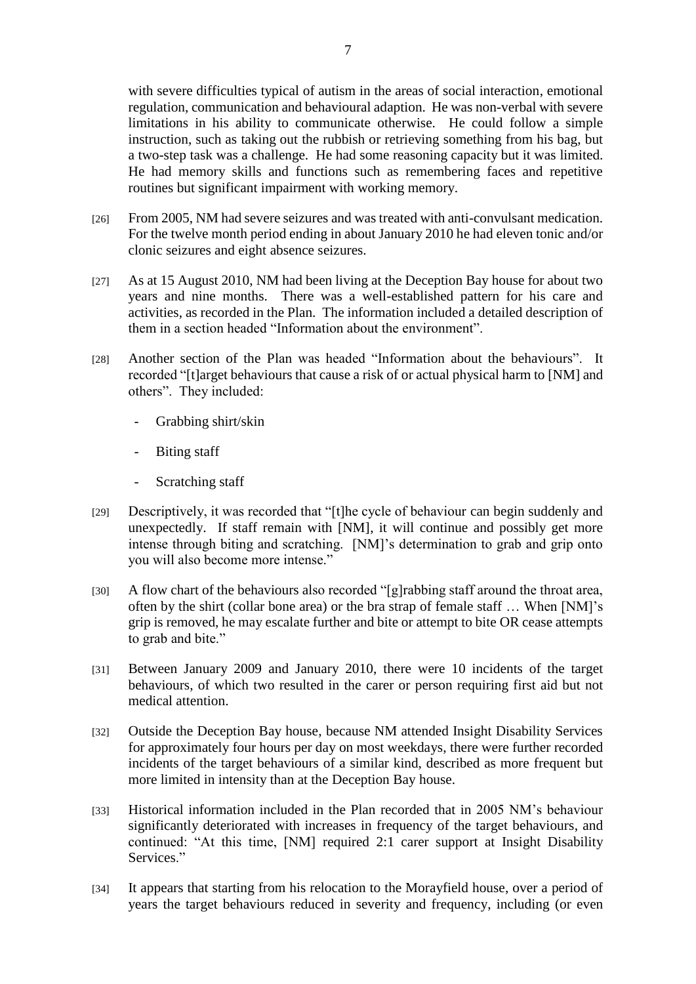with severe difficulties typical of autism in the areas of social interaction, emotional regulation, communication and behavioural adaption. He was non-verbal with severe limitations in his ability to communicate otherwise. He could follow a simple instruction, such as taking out the rubbish or retrieving something from his bag, but a two-step task was a challenge. He had some reasoning capacity but it was limited. He had memory skills and functions such as remembering faces and repetitive routines but significant impairment with working memory.

- [26] From 2005, NM had severe seizures and was treated with anti-convulsant medication. For the twelve month period ending in about January 2010 he had eleven tonic and/or clonic seizures and eight absence seizures.
- [27] As at 15 August 2010, NM had been living at the Deception Bay house for about two years and nine months. There was a well-established pattern for his care and activities, as recorded in the Plan. The information included a detailed description of them in a section headed "Information about the environment".
- [28] Another section of the Plan was headed "Information about the behaviours". It recorded "[t]arget behaviours that cause a risk of or actual physical harm to [NM] and others". They included:
	- Grabbing shirt/skin
	- Biting staff
	- Scratching staff
- [29] Descriptively, it was recorded that "[t]he cycle of behaviour can begin suddenly and unexpectedly. If staff remain with [NM], it will continue and possibly get more intense through biting and scratching. [NM]'s determination to grab and grip onto you will also become more intense."
- [30] A flow chart of the behaviours also recorded "[g]rabbing staff around the throat area, often by the shirt (collar bone area) or the bra strap of female staff … When [NM]'s grip is removed, he may escalate further and bite or attempt to bite OR cease attempts to grab and bite."
- [31] Between January 2009 and January 2010, there were 10 incidents of the target behaviours, of which two resulted in the carer or person requiring first aid but not medical attention.
- [32] Outside the Deception Bay house, because NM attended Insight Disability Services for approximately four hours per day on most weekdays, there were further recorded incidents of the target behaviours of a similar kind, described as more frequent but more limited in intensity than at the Deception Bay house.
- [33] Historical information included in the Plan recorded that in 2005 NM's behaviour significantly deteriorated with increases in frequency of the target behaviours, and continued: "At this time, [NM] required 2:1 carer support at Insight Disability Services."
- [34] It appears that starting from his relocation to the Morayfield house, over a period of years the target behaviours reduced in severity and frequency, including (or even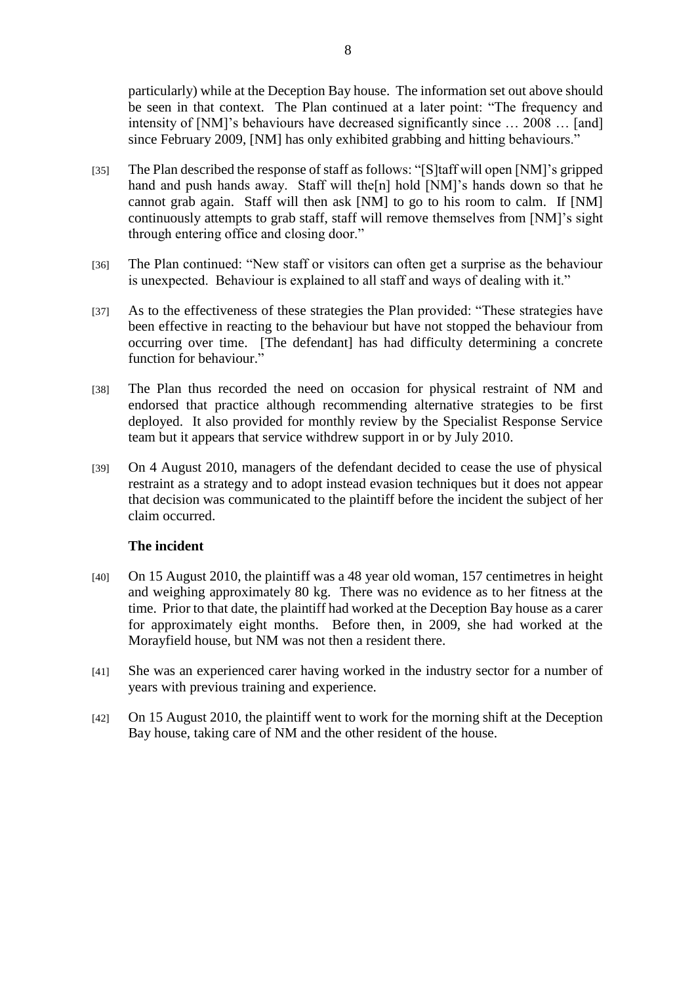particularly) while at the Deception Bay house. The information set out above should be seen in that context. The Plan continued at a later point: "The frequency and intensity of [NM]'s behaviours have decreased significantly since … 2008 … [and] since February 2009, [NM] has only exhibited grabbing and hitting behaviours."

- [35] The Plan described the response of staff as follows: "[S]taff will open [NM]'s gripped hand and push hands away. Staff will the [n] hold [NM]'s hands down so that he cannot grab again. Staff will then ask [NM] to go to his room to calm. If [NM] continuously attempts to grab staff, staff will remove themselves from [NM]'s sight through entering office and closing door."
- [36] The Plan continued: "New staff or visitors can often get a surprise as the behaviour is unexpected. Behaviour is explained to all staff and ways of dealing with it."
- [37] As to the effectiveness of these strategies the Plan provided: "These strategies have been effective in reacting to the behaviour but have not stopped the behaviour from occurring over time. [The defendant] has had difficulty determining a concrete function for behaviour."
- [38] The Plan thus recorded the need on occasion for physical restraint of NM and endorsed that practice although recommending alternative strategies to be first deployed. It also provided for monthly review by the Specialist Response Service team but it appears that service withdrew support in or by July 2010.
- [39] On 4 August 2010, managers of the defendant decided to cease the use of physical restraint as a strategy and to adopt instead evasion techniques but it does not appear that decision was communicated to the plaintiff before the incident the subject of her claim occurred.

## **The incident**

- [40] On 15 August 2010, the plaintiff was a 48 year old woman, 157 centimetres in height and weighing approximately 80 kg. There was no evidence as to her fitness at the time. Prior to that date, the plaintiff had worked at the Deception Bay house as a carer for approximately eight months. Before then, in 2009, she had worked at the Morayfield house, but NM was not then a resident there.
- [41] She was an experienced carer having worked in the industry sector for a number of years with previous training and experience.
- [42] On 15 August 2010, the plaintiff went to work for the morning shift at the Deception Bay house, taking care of NM and the other resident of the house.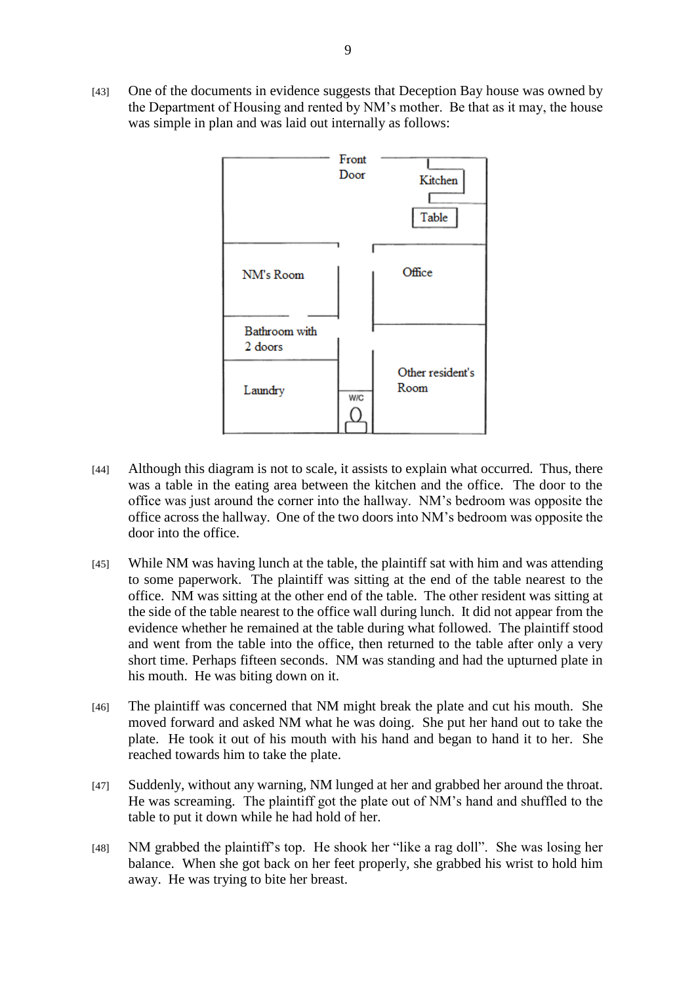[43] One of the documents in evidence suggests that Deception Bay house was owned by the Department of Housing and rented by NM's mother. Be that as it may, the house was simple in plan and was laid out internally as follows:



- [44] Although this diagram is not to scale, it assists to explain what occurred. Thus, there was a table in the eating area between the kitchen and the office. The door to the office was just around the corner into the hallway. NM's bedroom was opposite the office across the hallway. One of the two doors into NM's bedroom was opposite the door into the office.
- [45] While NM was having lunch at the table, the plaintiff sat with him and was attending to some paperwork. The plaintiff was sitting at the end of the table nearest to the office. NM was sitting at the other end of the table. The other resident was sitting at the side of the table nearest to the office wall during lunch. It did not appear from the evidence whether he remained at the table during what followed. The plaintiff stood and went from the table into the office, then returned to the table after only a very short time. Perhaps fifteen seconds. NM was standing and had the upturned plate in his mouth. He was biting down on it.
- [46] The plaintiff was concerned that NM might break the plate and cut his mouth. She moved forward and asked NM what he was doing. She put her hand out to take the plate. He took it out of his mouth with his hand and began to hand it to her. She reached towards him to take the plate.
- [47] Suddenly, without any warning, NM lunged at her and grabbed her around the throat. He was screaming. The plaintiff got the plate out of NM's hand and shuffled to the table to put it down while he had hold of her.
- [48] NM grabbed the plaintiff's top. He shook her "like a rag doll". She was losing her balance. When she got back on her feet properly, she grabbed his wrist to hold him away. He was trying to bite her breast.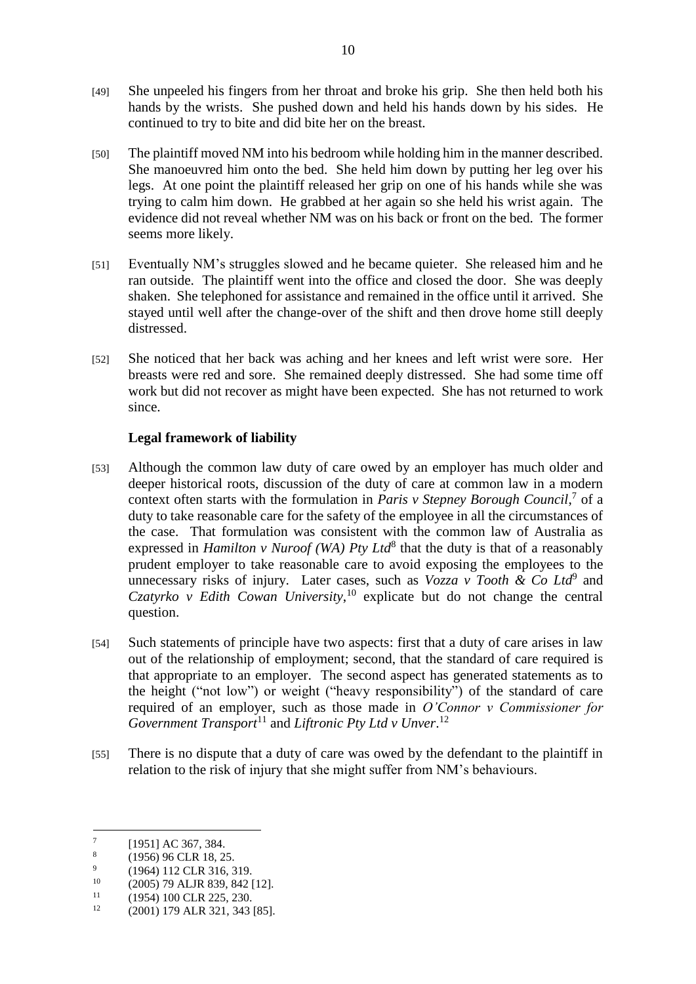- [49] She unpeeled his fingers from her throat and broke his grip. She then held both his hands by the wrists. She pushed down and held his hands down by his sides. He continued to try to bite and did bite her on the breast.
- [50] The plaintiff moved NM into his bedroom while holding him in the manner described. She manoeuvred him onto the bed. She held him down by putting her leg over his legs. At one point the plaintiff released her grip on one of his hands while she was trying to calm him down. He grabbed at her again so she held his wrist again. The evidence did not reveal whether NM was on his back or front on the bed. The former seems more likely.
- [51] Eventually NM's struggles slowed and he became quieter. She released him and he ran outside. The plaintiff went into the office and closed the door. She was deeply shaken. She telephoned for assistance and remained in the office until it arrived. She stayed until well after the change-over of the shift and then drove home still deeply distressed.
- [52] She noticed that her back was aching and her knees and left wrist were sore. Her breasts were red and sore. She remained deeply distressed. She had some time off work but did not recover as might have been expected. She has not returned to work since.

## **Legal framework of liability**

- [53] Although the common law duty of care owed by an employer has much older and deeper historical roots, discussion of the duty of care at common law in a modern context often starts with the formulation in *Paris v Stepney Borough Council*,<sup>7</sup> of a duty to take reasonable care for the safety of the employee in all the circumstances of the case. That formulation was consistent with the common law of Australia as expressed in *Hamilton v Nuroof (WA) Pty Ltd*<sup>8</sup> that the duty is that of a reasonably prudent employer to take reasonable care to avoid exposing the employees to the unnecessary risks of injury. Later cases, such as *Vozza v Tooth & Co Ltd*<sup>9</sup> and *Czatyrko v Edith Cowan University*, <sup>10</sup> explicate but do not change the central question.
- [54] Such statements of principle have two aspects: first that a duty of care arises in law out of the relationship of employment; second, that the standard of care required is that appropriate to an employer. The second aspect has generated statements as to the height ("not low") or weight ("heavy responsibility") of the standard of care required of an employer, such as those made in *O'Connor v Commissioner for*  Government Transport<sup>11</sup> and Liftronic Pty Ltd v Unver.<sup>12</sup>
- [55] There is no dispute that a duty of care was owed by the defendant to the plaintiff in relation to the risk of injury that she might suffer from NM's behaviours.

<sup>-&</sup>lt;br>7 [1951] AC 367, 384.

<sup>8</sup> (1956) 96 CLR 18, 25.

 $\ddot{q}$ (1964) 112 CLR 316, 319.

 $^{10}$  (2005) 79 ALJR 839, 842 [12].

 $^{11}$  (1954) 100 CLR 225, 230.

<sup>12</sup> (2001) 179 ALR 321, 343 [85].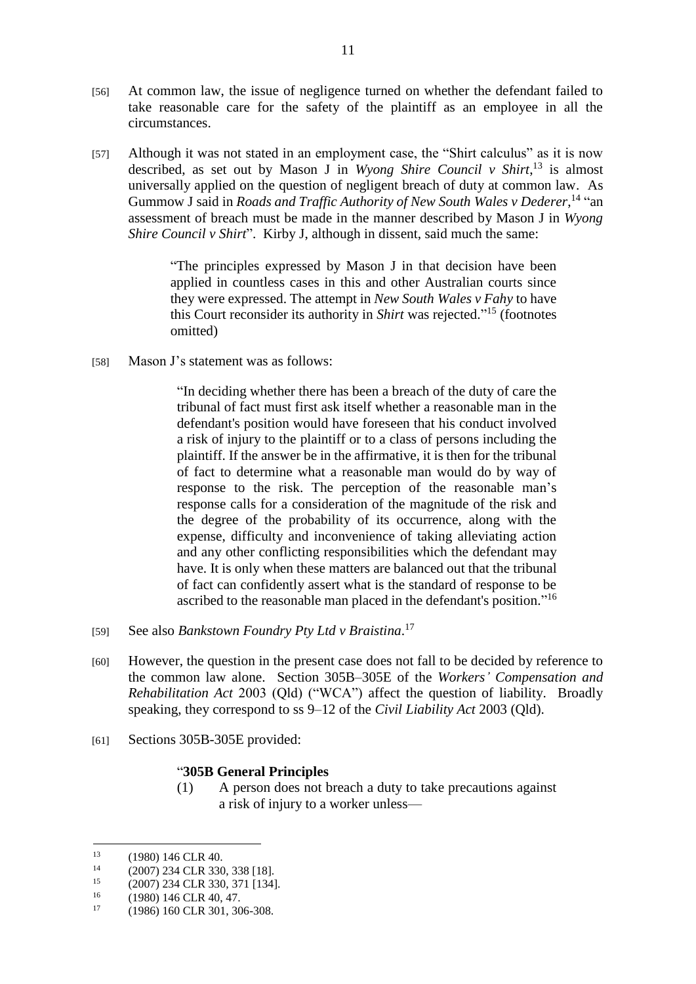- [56] At common law, the issue of negligence turned on whether the defendant failed to take reasonable care for the safety of the plaintiff as an employee in all the circumstances.
- [57] Although it was not stated in an employment case, the "Shirt calculus" as it is now described, as set out by Mason J in *Wyong Shire Council v Shirt*, <sup>13</sup> is almost universally applied on the question of negligent breach of duty at common law. As Gummow J said in *Roads and Traffic Authority of New South Wales v Dederer*,<sup>14</sup> "an assessment of breach must be made in the manner described by Mason J in *Wyong Shire Council v Shirt*". Kirby J, although in dissent, said much the same:

"The principles expressed by Mason J in that decision have been applied in countless cases in this and other Australian courts since they were expressed. The attempt in *New South Wales v Fahy* to have this Court reconsider its authority in *Shirt* was rejected." <sup>15</sup> (footnotes omitted)

[58] Mason J's statement was as follows:

"In deciding whether there has been a breach of the duty of care the tribunal of fact must first ask itself whether a reasonable man in the defendant's position would have foreseen that his conduct involved a risk of injury to the plaintiff or to a class of persons including the plaintiff. If the answer be in the affirmative, it is then for the tribunal of fact to determine what a reasonable man would do by way of response to the risk. The perception of the reasonable man's response calls for a consideration of the magnitude of the risk and the degree of the probability of its occurrence, along with the expense, difficulty and inconvenience of taking alleviating action and any other conflicting responsibilities which the defendant may have. It is only when these matters are balanced out that the tribunal of fact can confidently assert what is the standard of response to be ascribed to the reasonable man placed in the defendant's position."<sup>16</sup>

- [59] See also *Bankstown Foundry Pty Ltd v Braistina*. 17
- [60] However, the question in the present case does not fall to be decided by reference to the common law alone. Section 305B–305E of the *Workers' Compensation and Rehabilitation Act* 2003 (Qld) ("WCA") affect the question of liability. Broadly speaking, they correspond to ss 9–12 of the *Civil Liability Act* 2003 (Qld).
- [61] Sections 305B-305E provided:

## "**305B General Principles**

(1) A person does not breach a duty to take precautions against a risk of injury to a worker unless—

 $13$  $^{13}$  (1980) 146 CLR 40.

<sup>&</sup>lt;sup>14</sup> (2007) 234 CLR 330, 338 [18].

<sup>&</sup>lt;sup>15</sup> (2007) 234 CLR 330, 371 [134].

 $^{16}$  (1980) 146 CLR 40, 47.

<sup>17</sup> (1986) 160 CLR 301, 306-308.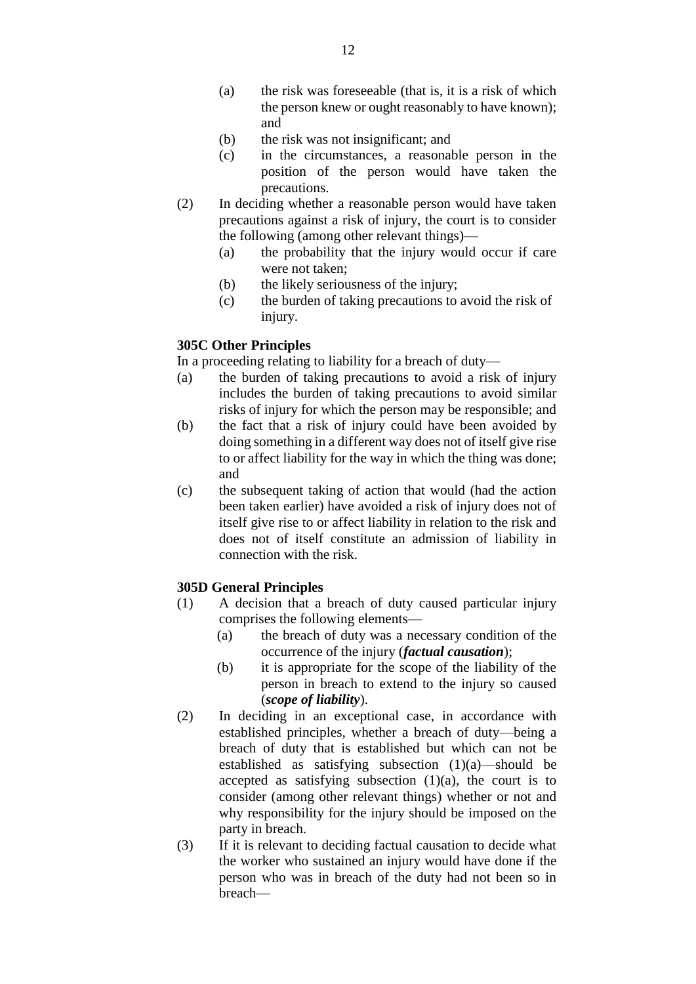- (a) the risk was foreseeable (that is, it is a risk of which the person knew or ought reasonably to have known); and
- (b) the risk was not insignificant; and
- (c) in the circumstances, a reasonable person in the position of the person would have taken the precautions.
- (2) In deciding whether a reasonable person would have taken precautions against a risk of injury, the court is to consider the following (among other relevant things)—
	- (a) the probability that the injury would occur if care were not taken;
	- (b) the likely seriousness of the injury;
	- (c) the burden of taking precautions to avoid the risk of injury.

## **305C Other Principles**

In a proceeding relating to liability for a breach of duty—

- (a) the burden of taking precautions to avoid a risk of injury includes the burden of taking precautions to avoid similar risks of injury for which the person may be responsible; and
- (b) the fact that a risk of injury could have been avoided by doing something in a different way does not of itself give rise to or affect liability for the way in which the thing was done; and
- (c) the subsequent taking of action that would (had the action been taken earlier) have avoided a risk of injury does not of itself give rise to or affect liability in relation to the risk and does not of itself constitute an admission of liability in connection with the risk.

## **305D General Principles**

- (1) A decision that a breach of duty caused particular injury comprises the following elements—
	- (a) the breach of duty was a necessary condition of the occurrence of the injury (*factual causation*);
	- (b) it is appropriate for the scope of the liability of the person in breach to extend to the injury so caused (*scope of liability*).
- (2) In deciding in an exceptional case, in accordance with established principles, whether a breach of duty—being a breach of duty that is established but which can not be established as satisfying subsection (1)(a)—should be accepted as satisfying subsection  $(1)(a)$ , the court is to consider (among other relevant things) whether or not and why responsibility for the injury should be imposed on the party in breach.
- (3) If it is relevant to deciding factual causation to decide what the worker who sustained an injury would have done if the person who was in breach of the duty had not been so in breach—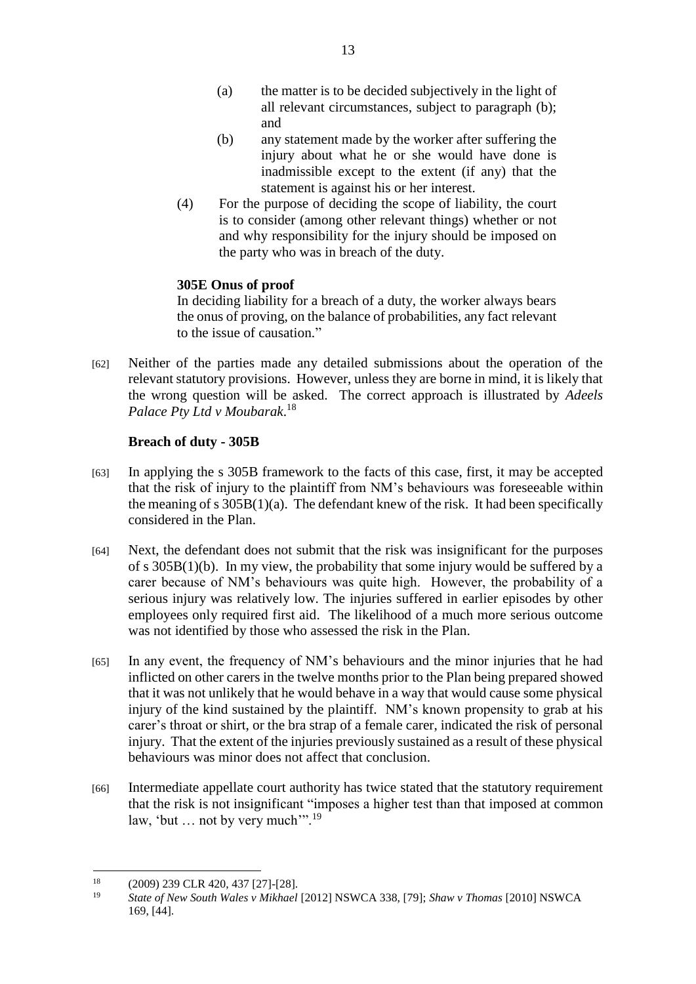- (a) the matter is to be decided subjectively in the light of all relevant circumstances, subject to paragraph (b); and
- (b) any statement made by the worker after suffering the injury about what he or she would have done is inadmissible except to the extent (if any) that the statement is against his or her interest.
- (4) For the purpose of deciding the scope of liability, the court is to consider (among other relevant things) whether or not and why responsibility for the injury should be imposed on the party who was in breach of the duty.

# **305E Onus of proof**

In deciding liability for a breach of a duty, the worker always bears the onus of proving, on the balance of probabilities, any fact relevant to the issue of causation."

[62] Neither of the parties made any detailed submissions about the operation of the relevant statutory provisions. However, unless they are borne in mind, it is likely that the wrong question will be asked. The correct approach is illustrated by *Adeels Palace Pty Ltd v Moubarak*. 18

## **Breach of duty - 305B**

- [63] In applying the s 305B framework to the facts of this case, first, it may be accepted that the risk of injury to the plaintiff from NM's behaviours was foreseeable within the meaning of s  $305B(1)(a)$ . The defendant knew of the risk. It had been specifically considered in the Plan.
- [64] Next, the defendant does not submit that the risk was insignificant for the purposes of s 305B(1)(b). In my view, the probability that some injury would be suffered by a carer because of NM's behaviours was quite high. However, the probability of a serious injury was relatively low. The injuries suffered in earlier episodes by other employees only required first aid. The likelihood of a much more serious outcome was not identified by those who assessed the risk in the Plan.
- [65] In any event, the frequency of NM's behaviours and the minor injuries that he had inflicted on other carers in the twelve months prior to the Plan being prepared showed that it was not unlikely that he would behave in a way that would cause some physical injury of the kind sustained by the plaintiff. NM's known propensity to grab at his carer's throat or shirt, or the bra strap of a female carer, indicated the risk of personal injury. That the extent of the injuries previously sustained as a result of these physical behaviours was minor does not affect that conclusion.
- [66] Intermediate appellate court authority has twice stated that the statutory requirement that the risk is not insignificant "imposes a higher test than that imposed at common law, 'but ... not by very much'".<sup>19</sup>

<sup>&</sup>lt;u>.</u> <sup>18</sup> (2009) 239 CLR 420, 437 [27]-[28].

<sup>19</sup> *State of New South Wales v Mikhael* [2012] NSWCA 338, [79]; *Shaw v Thomas* [2010] NSWCA 169, [44].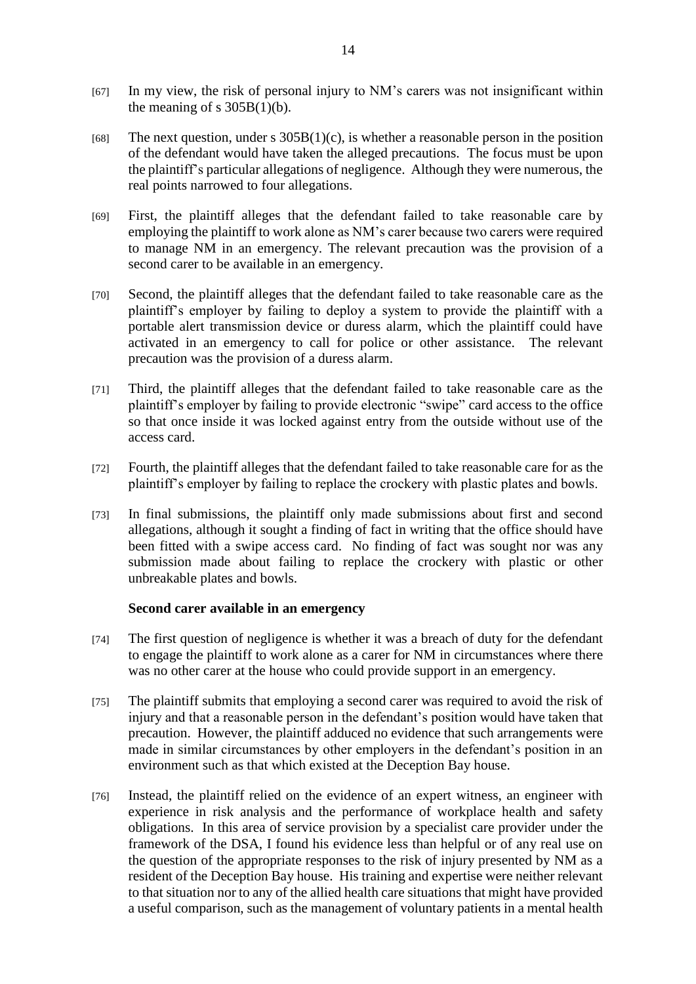- [67] In my view, the risk of personal injury to NM's carers was not insignificant within the meaning of s  $305B(1)(b)$ .
- [68] The next question, under s  $305B(1)(c)$ , is whether a reasonable person in the position of the defendant would have taken the alleged precautions. The focus must be upon the plaintiff's particular allegations of negligence. Although they were numerous, the real points narrowed to four allegations.
- [69] First, the plaintiff alleges that the defendant failed to take reasonable care by employing the plaintiff to work alone as NM's carer because two carers were required to manage NM in an emergency. The relevant precaution was the provision of a second carer to be available in an emergency.
- [70] Second, the plaintiff alleges that the defendant failed to take reasonable care as the plaintiff's employer by failing to deploy a system to provide the plaintiff with a portable alert transmission device or duress alarm, which the plaintiff could have activated in an emergency to call for police or other assistance. The relevant precaution was the provision of a duress alarm.
- [71] Third, the plaintiff alleges that the defendant failed to take reasonable care as the plaintiff's employer by failing to provide electronic "swipe" card access to the office so that once inside it was locked against entry from the outside without use of the access card.
- [72] Fourth, the plaintiff alleges that the defendant failed to take reasonable care for as the plaintiff's employer by failing to replace the crockery with plastic plates and bowls.
- [73] In final submissions, the plaintiff only made submissions about first and second allegations, although it sought a finding of fact in writing that the office should have been fitted with a swipe access card. No finding of fact was sought nor was any submission made about failing to replace the crockery with plastic or other unbreakable plates and bowls.

#### **Second carer available in an emergency**

- [74] The first question of negligence is whether it was a breach of duty for the defendant to engage the plaintiff to work alone as a carer for NM in circumstances where there was no other carer at the house who could provide support in an emergency.
- [75] The plaintiff submits that employing a second carer was required to avoid the risk of injury and that a reasonable person in the defendant's position would have taken that precaution. However, the plaintiff adduced no evidence that such arrangements were made in similar circumstances by other employers in the defendant's position in an environment such as that which existed at the Deception Bay house.
- [76] Instead, the plaintiff relied on the evidence of an expert witness, an engineer with experience in risk analysis and the performance of workplace health and safety obligations. In this area of service provision by a specialist care provider under the framework of the DSA, I found his evidence less than helpful or of any real use on the question of the appropriate responses to the risk of injury presented by NM as a resident of the Deception Bay house. His training and expertise were neither relevant to that situation nor to any of the allied health care situations that might have provided a useful comparison, such as the management of voluntary patients in a mental health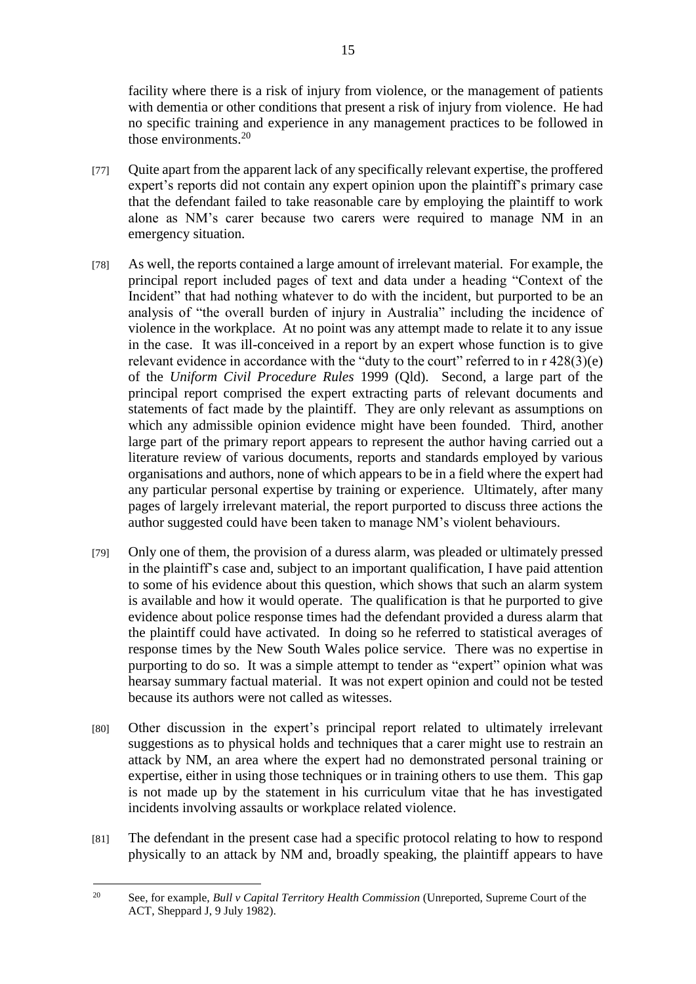facility where there is a risk of injury from violence, or the management of patients with dementia or other conditions that present a risk of injury from violence. He had no specific training and experience in any management practices to be followed in those environments. 20

- [77] Quite apart from the apparent lack of any specifically relevant expertise, the proffered expert's reports did not contain any expert opinion upon the plaintiff's primary case that the defendant failed to take reasonable care by employing the plaintiff to work alone as NM's carer because two carers were required to manage NM in an emergency situation.
- [78] As well, the reports contained a large amount of irrelevant material. For example, the principal report included pages of text and data under a heading "Context of the Incident" that had nothing whatever to do with the incident, but purported to be an analysis of "the overall burden of injury in Australia" including the incidence of violence in the workplace. At no point was any attempt made to relate it to any issue in the case. It was ill-conceived in a report by an expert whose function is to give relevant evidence in accordance with the "duty to the court" referred to in r 428(3)(e) of the *Uniform Civil Procedure Rules* 1999 (Qld). Second, a large part of the principal report comprised the expert extracting parts of relevant documents and statements of fact made by the plaintiff. They are only relevant as assumptions on which any admissible opinion evidence might have been founded. Third, another large part of the primary report appears to represent the author having carried out a literature review of various documents, reports and standards employed by various organisations and authors, none of which appears to be in a field where the expert had any particular personal expertise by training or experience. Ultimately, after many pages of largely irrelevant material, the report purported to discuss three actions the author suggested could have been taken to manage NM's violent behaviours.
- [79] Only one of them, the provision of a duress alarm, was pleaded or ultimately pressed in the plaintiff's case and, subject to an important qualification, I have paid attention to some of his evidence about this question, which shows that such an alarm system is available and how it would operate. The qualification is that he purported to give evidence about police response times had the defendant provided a duress alarm that the plaintiff could have activated. In doing so he referred to statistical averages of response times by the New South Wales police service. There was no expertise in purporting to do so. It was a simple attempt to tender as "expert" opinion what was hearsay summary factual material. It was not expert opinion and could not be tested because its authors were not called as witesses.
- [80] Other discussion in the expert's principal report related to ultimately irrelevant suggestions as to physical holds and techniques that a carer might use to restrain an attack by NM, an area where the expert had no demonstrated personal training or expertise, either in using those techniques or in training others to use them. This gap is not made up by the statement in his curriculum vitae that he has investigated incidents involving assaults or workplace related violence.
- [81] The defendant in the present case had a specific protocol relating to how to respond physically to an attack by NM and, broadly speaking, the plaintiff appears to have

<sup>&</sup>lt;u>.</u> <sup>20</sup> See, for example, *Bull v Capital Territory Health Commission* (Unreported, Supreme Court of the ACT, Sheppard J, 9 July 1982).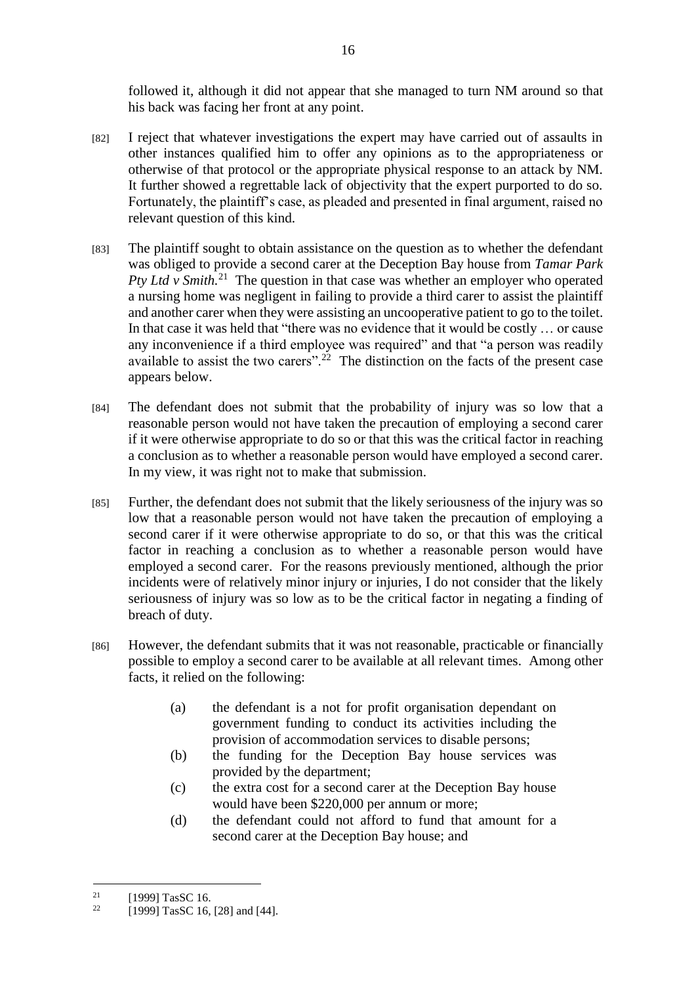followed it, although it did not appear that she managed to turn NM around so that his back was facing her front at any point.

- [82] I reject that whatever investigations the expert may have carried out of assaults in other instances qualified him to offer any opinions as to the appropriateness or otherwise of that protocol or the appropriate physical response to an attack by NM. It further showed a regrettable lack of objectivity that the expert purported to do so. Fortunately, the plaintiff's case, as pleaded and presented in final argument, raised no relevant question of this kind.
- [83] The plaintiff sought to obtain assistance on the question as to whether the defendant was obliged to provide a second carer at the Deception Bay house from *Tamar Park Pty Ltd v Smith.*<sup>21</sup> The question in that case was whether an employer who operated a nursing home was negligent in failing to provide a third carer to assist the plaintiff and another carer when they were assisting an uncooperative patient to go to the toilet. In that case it was held that "there was no evidence that it would be costly … or cause any inconvenience if a third employee was required" and that "a person was readily available to assist the two carers".<sup>22</sup> The distinction on the facts of the present case appears below.
- [84] The defendant does not submit that the probability of injury was so low that a reasonable person would not have taken the precaution of employing a second carer if it were otherwise appropriate to do so or that this was the critical factor in reaching a conclusion as to whether a reasonable person would have employed a second carer. In my view, it was right not to make that submission.
- [85] Further, the defendant does not submit that the likely seriousness of the injury was so low that a reasonable person would not have taken the precaution of employing a second carer if it were otherwise appropriate to do so, or that this was the critical factor in reaching a conclusion as to whether a reasonable person would have employed a second carer. For the reasons previously mentioned, although the prior incidents were of relatively minor injury or injuries, I do not consider that the likely seriousness of injury was so low as to be the critical factor in negating a finding of breach of duty.
- [86] However, the defendant submits that it was not reasonable, practicable or financially possible to employ a second carer to be available at all relevant times. Among other facts, it relied on the following:
	- (a) the defendant is a not for profit organisation dependant on government funding to conduct its activities including the provision of accommodation services to disable persons;
	- (b) the funding for the Deception Bay house services was provided by the department;
	- (c) the extra cost for a second carer at the Deception Bay house would have been \$220,000 per annum or more;
	- (d) the defendant could not afford to fund that amount for a second carer at the Deception Bay house; and

<u>.</u>

<sup>&</sup>lt;sup>21</sup> [1999] TasSC 16.<br><sup>22</sup> [1000] TesSC 16.

<sup>[1999]</sup> TasSC 16, [28] and [44].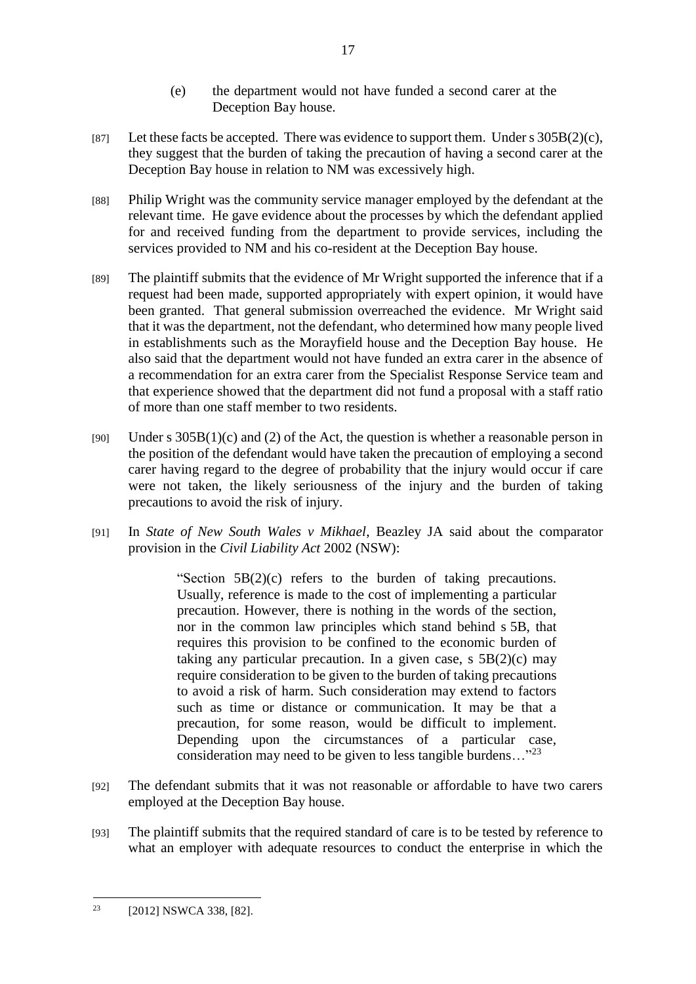- (e) the department would not have funded a second carer at the Deception Bay house.
- [87] Let these facts be accepted. There was evidence to support them. Under s  $305B(2)(c)$ , they suggest that the burden of taking the precaution of having a second carer at the Deception Bay house in relation to NM was excessively high.
- [88] Philip Wright was the community service manager employed by the defendant at the relevant time. He gave evidence about the processes by which the defendant applied for and received funding from the department to provide services, including the services provided to NM and his co-resident at the Deception Bay house.
- [89] The plaintiff submits that the evidence of Mr Wright supported the inference that if a request had been made, supported appropriately with expert opinion, it would have been granted. That general submission overreached the evidence. Mr Wright said that it was the department, not the defendant, who determined how many people lived in establishments such as the Morayfield house and the Deception Bay house. He also said that the department would not have funded an extra carer in the absence of a recommendation for an extra carer from the Specialist Response Service team and that experience showed that the department did not fund a proposal with a staff ratio of more than one staff member to two residents.
- [90] Under s  $305B(1)(c)$  and (2) of the Act, the question is whether a reasonable person in the position of the defendant would have taken the precaution of employing a second carer having regard to the degree of probability that the injury would occur if care were not taken, the likely seriousness of the injury and the burden of taking precautions to avoid the risk of injury.
- [91] In *State of New South Wales v Mikhael*, Beazley JA said about the comparator provision in the *Civil Liability Act* 2002 (NSW):

"Section 5B(2)(c) refers to the burden of taking precautions. Usually, reference is made to the cost of implementing a particular precaution. However, there is nothing in the words of the section, nor in the common law principles which stand behind s 5B, that requires this provision to be confined to the economic burden of taking any particular precaution. In a given case, s  $5B(2)(c)$  may require consideration to be given to the burden of taking precautions to avoid a risk of harm. Such consideration may extend to factors such as time or distance or communication. It may be that a precaution, for some reason, would be difficult to implement. Depending upon the circumstances of a particular case, consideration may need to be given to less tangible burdens…"<sup>23</sup>

- [92] The defendant submits that it was not reasonable or affordable to have two carers employed at the Deception Bay house.
- [93] The plaintiff submits that the required standard of care is to be tested by reference to what an employer with adequate resources to conduct the enterprise in which the

<sup>1</sup> <sup>23</sup> [2012] NSWCA 338, [82].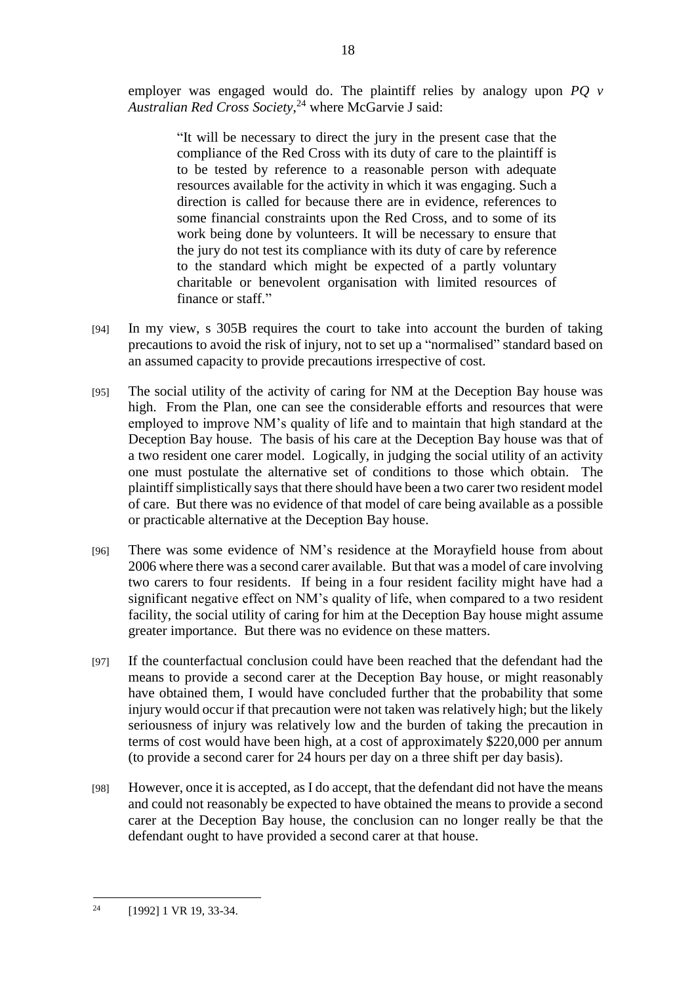employer was engaged would do. The plaintiff relies by analogy upon *PQ v Australian Red Cross Society*, <sup>24</sup> where McGarvie J said:

> "It will be necessary to direct the jury in the present case that the compliance of the Red Cross with its duty of care to the plaintiff is to be tested by reference to a reasonable person with adequate resources available for the activity in which it was engaging. Such a direction is called for because there are in evidence, references to some financial constraints upon the Red Cross, and to some of its work being done by volunteers. It will be necessary to ensure that the jury do not test its compliance with its duty of care by reference to the standard which might be expected of a partly voluntary charitable or benevolent organisation with limited resources of finance or staff."

- [94] In my view, s 305B requires the court to take into account the burden of taking precautions to avoid the risk of injury, not to set up a "normalised" standard based on an assumed capacity to provide precautions irrespective of cost.
- [95] The social utility of the activity of caring for NM at the Deception Bay house was high. From the Plan, one can see the considerable efforts and resources that were employed to improve NM's quality of life and to maintain that high standard at the Deception Bay house. The basis of his care at the Deception Bay house was that of a two resident one carer model. Logically, in judging the social utility of an activity one must postulate the alternative set of conditions to those which obtain. The plaintiff simplistically says that there should have been a two carer two resident model of care. But there was no evidence of that model of care being available as a possible or practicable alternative at the Deception Bay house.
- [96] There was some evidence of NM's residence at the Morayfield house from about 2006 where there was a second carer available. But that was a model of care involving two carers to four residents. If being in a four resident facility might have had a significant negative effect on NM's quality of life, when compared to a two resident facility, the social utility of caring for him at the Deception Bay house might assume greater importance. But there was no evidence on these matters.
- [97] If the counterfactual conclusion could have been reached that the defendant had the means to provide a second carer at the Deception Bay house, or might reasonably have obtained them, I would have concluded further that the probability that some injury would occur if that precaution were not taken was relatively high; but the likely seriousness of injury was relatively low and the burden of taking the precaution in terms of cost would have been high, at a cost of approximately \$220,000 per annum (to provide a second carer for 24 hours per day on a three shift per day basis).
- [98] However, once it is accepted, as I do accept, that the defendant did not have the means and could not reasonably be expected to have obtained the means to provide a second carer at the Deception Bay house, the conclusion can no longer really be that the defendant ought to have provided a second carer at that house.

<sup>1</sup>  $^{24}$  [1992] 1 VR 19, 33-34.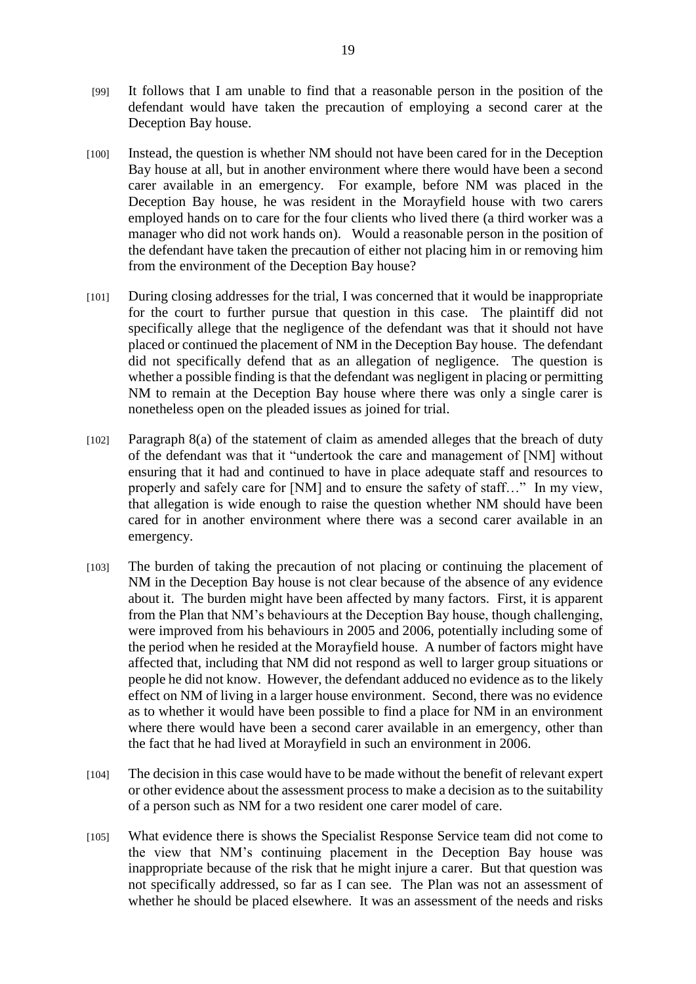- [99] It follows that I am unable to find that a reasonable person in the position of the defendant would have taken the precaution of employing a second carer at the Deception Bay house.
- [100] Instead, the question is whether NM should not have been cared for in the Deception Bay house at all, but in another environment where there would have been a second carer available in an emergency. For example, before NM was placed in the Deception Bay house, he was resident in the Morayfield house with two carers employed hands on to care for the four clients who lived there (a third worker was a manager who did not work hands on). Would a reasonable person in the position of the defendant have taken the precaution of either not placing him in or removing him from the environment of the Deception Bay house?
- [101] During closing addresses for the trial, I was concerned that it would be inappropriate for the court to further pursue that question in this case. The plaintiff did not specifically allege that the negligence of the defendant was that it should not have placed or continued the placement of NM in the Deception Bay house. The defendant did not specifically defend that as an allegation of negligence. The question is whether a possible finding is that the defendant was negligent in placing or permitting NM to remain at the Deception Bay house where there was only a single carer is nonetheless open on the pleaded issues as joined for trial.
- [102] Paragraph 8(a) of the statement of claim as amended alleges that the breach of duty of the defendant was that it "undertook the care and management of [NM] without ensuring that it had and continued to have in place adequate staff and resources to properly and safely care for [NM] and to ensure the safety of staff…" In my view, that allegation is wide enough to raise the question whether NM should have been cared for in another environment where there was a second carer available in an emergency.
- [103] The burden of taking the precaution of not placing or continuing the placement of NM in the Deception Bay house is not clear because of the absence of any evidence about it. The burden might have been affected by many factors. First, it is apparent from the Plan that NM's behaviours at the Deception Bay house, though challenging, were improved from his behaviours in 2005 and 2006, potentially including some of the period when he resided at the Morayfield house. A number of factors might have affected that, including that NM did not respond as well to larger group situations or people he did not know. However, the defendant adduced no evidence as to the likely effect on NM of living in a larger house environment. Second, there was no evidence as to whether it would have been possible to find a place for NM in an environment where there would have been a second carer available in an emergency, other than the fact that he had lived at Morayfield in such an environment in 2006.
- [104] The decision in this case would have to be made without the benefit of relevant expert or other evidence about the assessment process to make a decision as to the suitability of a person such as NM for a two resident one carer model of care.
- [105] What evidence there is shows the Specialist Response Service team did not come to the view that NM's continuing placement in the Deception Bay house was inappropriate because of the risk that he might injure a carer. But that question was not specifically addressed, so far as I can see. The Plan was not an assessment of whether he should be placed elsewhere. It was an assessment of the needs and risks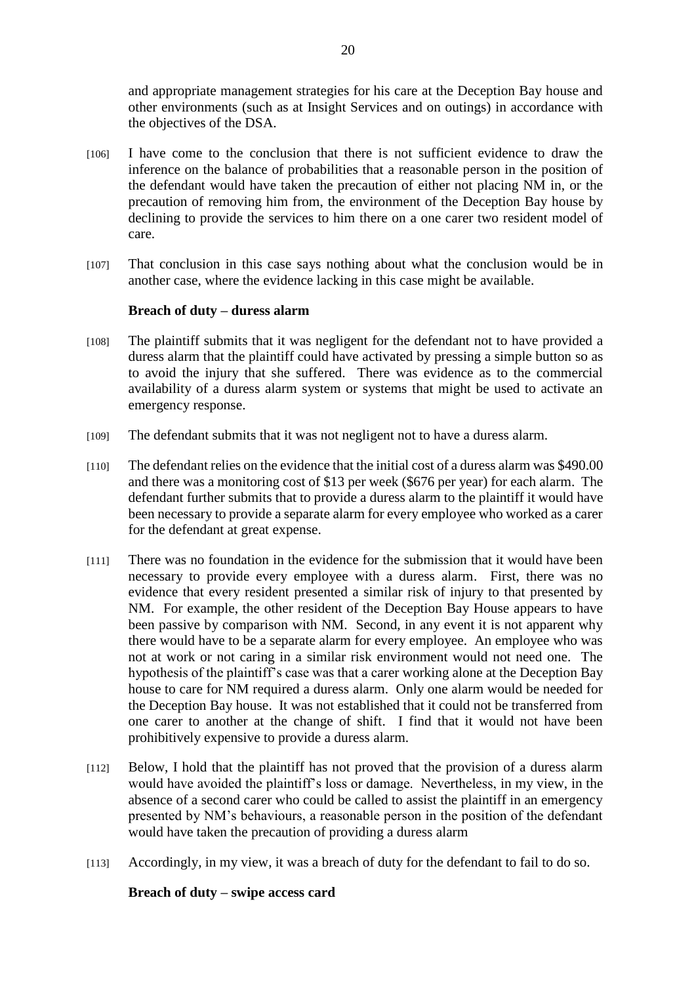and appropriate management strategies for his care at the Deception Bay house and other environments (such as at Insight Services and on outings) in accordance with the objectives of the DSA.

- [106] I have come to the conclusion that there is not sufficient evidence to draw the inference on the balance of probabilities that a reasonable person in the position of the defendant would have taken the precaution of either not placing NM in, or the precaution of removing him from, the environment of the Deception Bay house by declining to provide the services to him there on a one carer two resident model of care.
- [107] That conclusion in this case says nothing about what the conclusion would be in another case, where the evidence lacking in this case might be available.

#### **Breach of duty – duress alarm**

- [108] The plaintiff submits that it was negligent for the defendant not to have provided a duress alarm that the plaintiff could have activated by pressing a simple button so as to avoid the injury that she suffered. There was evidence as to the commercial availability of a duress alarm system or systems that might be used to activate an emergency response.
- [109] The defendant submits that it was not negligent not to have a duress alarm.
- [110] The defendant relies on the evidence that the initial cost of a duress alarm was \$490.00 and there was a monitoring cost of \$13 per week (\$676 per year) for each alarm. The defendant further submits that to provide a duress alarm to the plaintiff it would have been necessary to provide a separate alarm for every employee who worked as a carer for the defendant at great expense.
- [111] There was no foundation in the evidence for the submission that it would have been necessary to provide every employee with a duress alarm. First, there was no evidence that every resident presented a similar risk of injury to that presented by NM. For example, the other resident of the Deception Bay House appears to have been passive by comparison with NM. Second, in any event it is not apparent why there would have to be a separate alarm for every employee. An employee who was not at work or not caring in a similar risk environment would not need one. The hypothesis of the plaintiff's case was that a carer working alone at the Deception Bay house to care for NM required a duress alarm. Only one alarm would be needed for the Deception Bay house. It was not established that it could not be transferred from one carer to another at the change of shift. I find that it would not have been prohibitively expensive to provide a duress alarm.
- [112] Below, I hold that the plaintiff has not proved that the provision of a duress alarm would have avoided the plaintiff's loss or damage. Nevertheless, in my view, in the absence of a second carer who could be called to assist the plaintiff in an emergency presented by NM's behaviours, a reasonable person in the position of the defendant would have taken the precaution of providing a duress alarm
- [113] Accordingly, in my view, it was a breach of duty for the defendant to fail to do so.

#### **Breach of duty – swipe access card**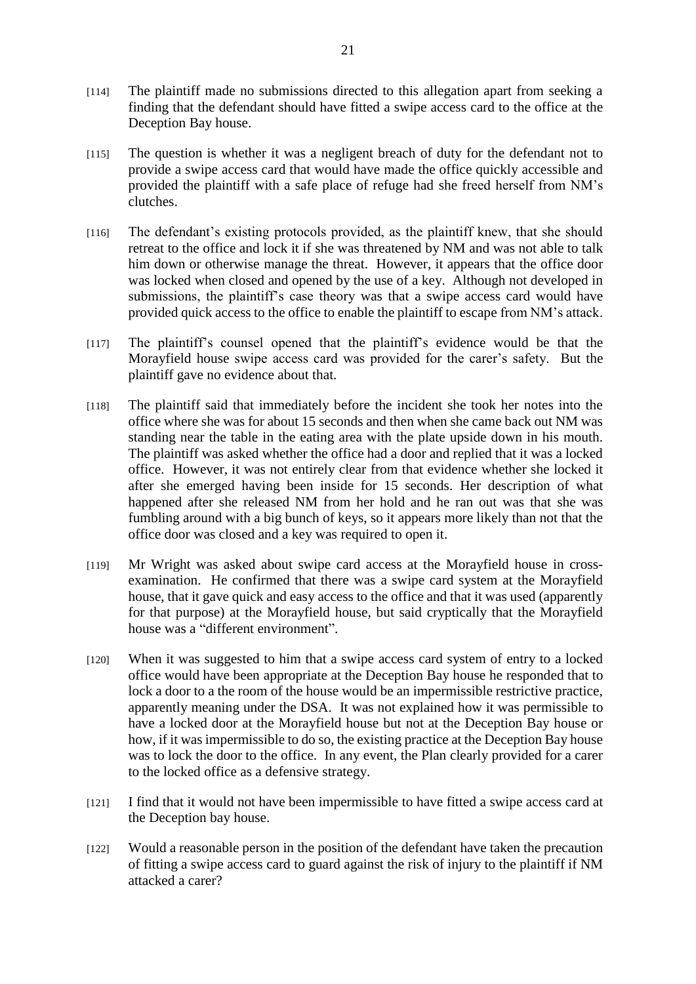- [114] The plaintiff made no submissions directed to this allegation apart from seeking a finding that the defendant should have fitted a swipe access card to the office at the Deception Bay house.
- [115] The question is whether it was a negligent breach of duty for the defendant not to provide a swipe access card that would have made the office quickly accessible and provided the plaintiff with a safe place of refuge had she freed herself from NM's clutches.
- [116] The defendant's existing protocols provided, as the plaintiff knew, that she should retreat to the office and lock it if she was threatened by NM and was not able to talk him down or otherwise manage the threat. However, it appears that the office door was locked when closed and opened by the use of a key. Although not developed in submissions, the plaintiff's case theory was that a swipe access card would have provided quick access to the office to enable the plaintiff to escape from NM's attack.
- [117] The plaintiff's counsel opened that the plaintiff's evidence would be that the Morayfield house swipe access card was provided for the carer's safety. But the plaintiff gave no evidence about that.
- [118] The plaintiff said that immediately before the incident she took her notes into the office where she was for about 15 seconds and then when she came back out NM was standing near the table in the eating area with the plate upside down in his mouth. The plaintiff was asked whether the office had a door and replied that it was a locked office. However, it was not entirely clear from that evidence whether she locked it after she emerged having been inside for 15 seconds. Her description of what happened after she released NM from her hold and he ran out was that she was fumbling around with a big bunch of keys, so it appears more likely than not that the office door was closed and a key was required to open it.
- [119] Mr Wright was asked about swipe card access at the Morayfield house in crossexamination. He confirmed that there was a swipe card system at the Morayfield house, that it gave quick and easy access to the office and that it was used (apparently for that purpose) at the Morayfield house, but said cryptically that the Morayfield house was a "different environment".
- [120] When it was suggested to him that a swipe access card system of entry to a locked office would have been appropriate at the Deception Bay house he responded that to lock a door to a the room of the house would be an impermissible restrictive practice, apparently meaning under the DSA. It was not explained how it was permissible to have a locked door at the Morayfield house but not at the Deception Bay house or how, if it was impermissible to do so, the existing practice at the Deception Bay house was to lock the door to the office. In any event, the Plan clearly provided for a carer to the locked office as a defensive strategy.
- [121] I find that it would not have been impermissible to have fitted a swipe access card at the Deception bay house.
- [122] Would a reasonable person in the position of the defendant have taken the precaution of fitting a swipe access card to guard against the risk of injury to the plaintiff if NM attacked a carer?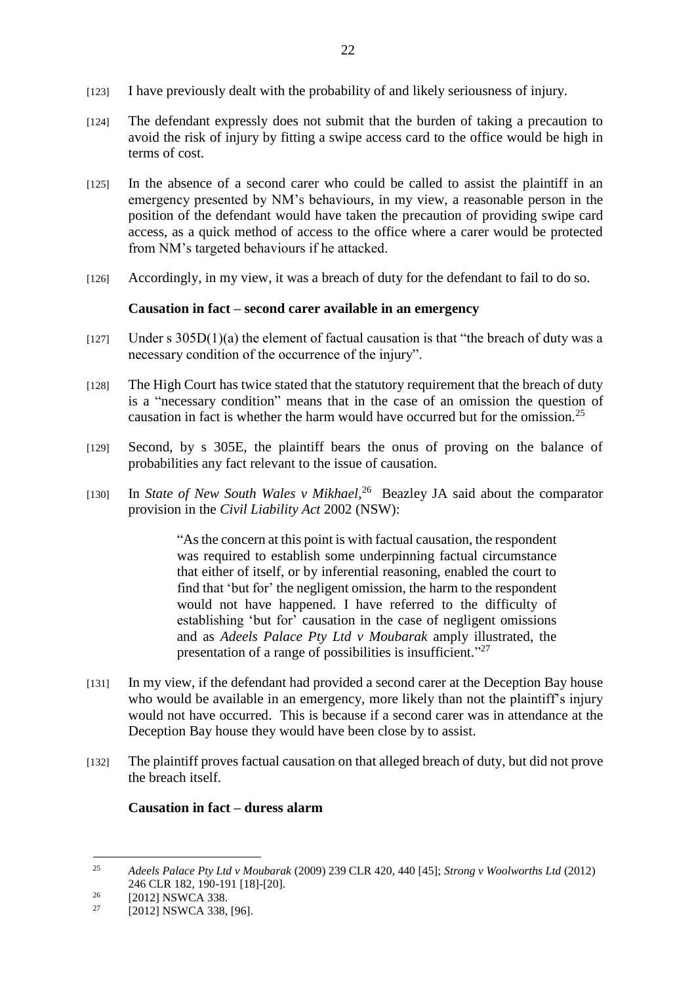- [123] I have previously dealt with the probability of and likely seriousness of injury.
- [124] The defendant expressly does not submit that the burden of taking a precaution to avoid the risk of injury by fitting a swipe access card to the office would be high in terms of cost.
- [125] In the absence of a second carer who could be called to assist the plaintiff in an emergency presented by NM's behaviours, in my view, a reasonable person in the position of the defendant would have taken the precaution of providing swipe card access, as a quick method of access to the office where a carer would be protected from NM's targeted behaviours if he attacked.
- [126] Accordingly, in my view, it was a breach of duty for the defendant to fail to do so.

# **Causation in fact – second carer available in an emergency**

- $[127]$  Under s 305D(1)(a) the element of factual causation is that "the breach of duty was a necessary condition of the occurrence of the injury".
- [128] The High Court has twice stated that the statutory requirement that the breach of duty is a "necessary condition" means that in the case of an omission the question of causation in fact is whether the harm would have occurred but for the omission.<sup>25</sup>
- [129] Second, by s 305E, the plaintiff bears the onus of proving on the balance of probabilities any fact relevant to the issue of causation.
- [130] In *State of New South Wales v Mikhael*,<sup>26</sup> Beazley JA said about the comparator provision in the *Civil Liability Act* 2002 (NSW):

"As the concern at this point is with factual causation, the respondent was required to establish some underpinning factual circumstance that either of itself, or by inferential reasoning, enabled the court to find that 'but for' the negligent omission, the harm to the respondent would not have happened. I have referred to the difficulty of establishing 'but for' causation in the case of negligent omissions and as *Adeels Palace Pty Ltd v Moubarak* amply illustrated, the presentation of a range of possibilities is insufficient."<sup>27</sup>

- [131] In my view, if the defendant had provided a second carer at the Deception Bay house who would be available in an emergency, more likely than not the plaintiff's injury would not have occurred. This is because if a second carer was in attendance at the Deception Bay house they would have been close by to assist.
- [132] The plaintiff proves factual causation on that alleged breach of duty, but did not prove the breach itself.

# **Causation in fact – duress alarm**

 $25$ <sup>25</sup> *Adeels Palace Pty Ltd v Moubarak* (2009) 239 CLR 420, 440 [45]; *Strong v Woolworths Ltd* (2012) 246 CLR 182, 190-191 [18]-[20].

<sup>&</sup>lt;sup>26</sup> [2012] NSWCA 338.<br><sup>27</sup> [2012] NSWCA 338.

<sup>[2012]</sup> NSWCA 338, [96].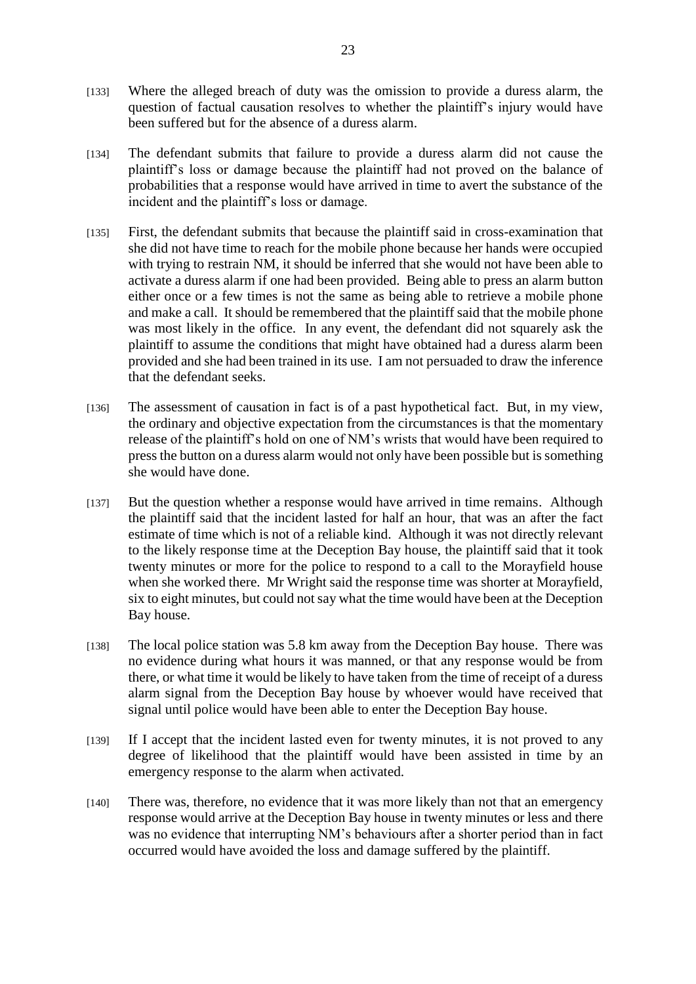- [133] Where the alleged breach of duty was the omission to provide a duress alarm, the question of factual causation resolves to whether the plaintiff's injury would have been suffered but for the absence of a duress alarm.
- [134] The defendant submits that failure to provide a duress alarm did not cause the plaintiff's loss or damage because the plaintiff had not proved on the balance of probabilities that a response would have arrived in time to avert the substance of the incident and the plaintiff's loss or damage.
- [135] First, the defendant submits that because the plaintiff said in cross-examination that she did not have time to reach for the mobile phone because her hands were occupied with trying to restrain NM, it should be inferred that she would not have been able to activate a duress alarm if one had been provided. Being able to press an alarm button either once or a few times is not the same as being able to retrieve a mobile phone and make a call. It should be remembered that the plaintiff said that the mobile phone was most likely in the office. In any event, the defendant did not squarely ask the plaintiff to assume the conditions that might have obtained had a duress alarm been provided and she had been trained in its use. I am not persuaded to draw the inference that the defendant seeks.
- [136] The assessment of causation in fact is of a past hypothetical fact. But, in my view, the ordinary and objective expectation from the circumstances is that the momentary release of the plaintiff's hold on one of NM's wrists that would have been required to press the button on a duress alarm would not only have been possible but is something she would have done.
- [137] But the question whether a response would have arrived in time remains. Although the plaintiff said that the incident lasted for half an hour, that was an after the fact estimate of time which is not of a reliable kind. Although it was not directly relevant to the likely response time at the Deception Bay house, the plaintiff said that it took twenty minutes or more for the police to respond to a call to the Morayfield house when she worked there. Mr Wright said the response time was shorter at Morayfield, six to eight minutes, but could not say what the time would have been at the Deception Bay house.
- [138] The local police station was 5.8 km away from the Deception Bay house. There was no evidence during what hours it was manned, or that any response would be from there, or what time it would be likely to have taken from the time of receipt of a duress alarm signal from the Deception Bay house by whoever would have received that signal until police would have been able to enter the Deception Bay house.
- [139] If I accept that the incident lasted even for twenty minutes, it is not proved to any degree of likelihood that the plaintiff would have been assisted in time by an emergency response to the alarm when activated.
- [140] There was, therefore, no evidence that it was more likely than not that an emergency response would arrive at the Deception Bay house in twenty minutes or less and there was no evidence that interrupting NM's behaviours after a shorter period than in fact occurred would have avoided the loss and damage suffered by the plaintiff.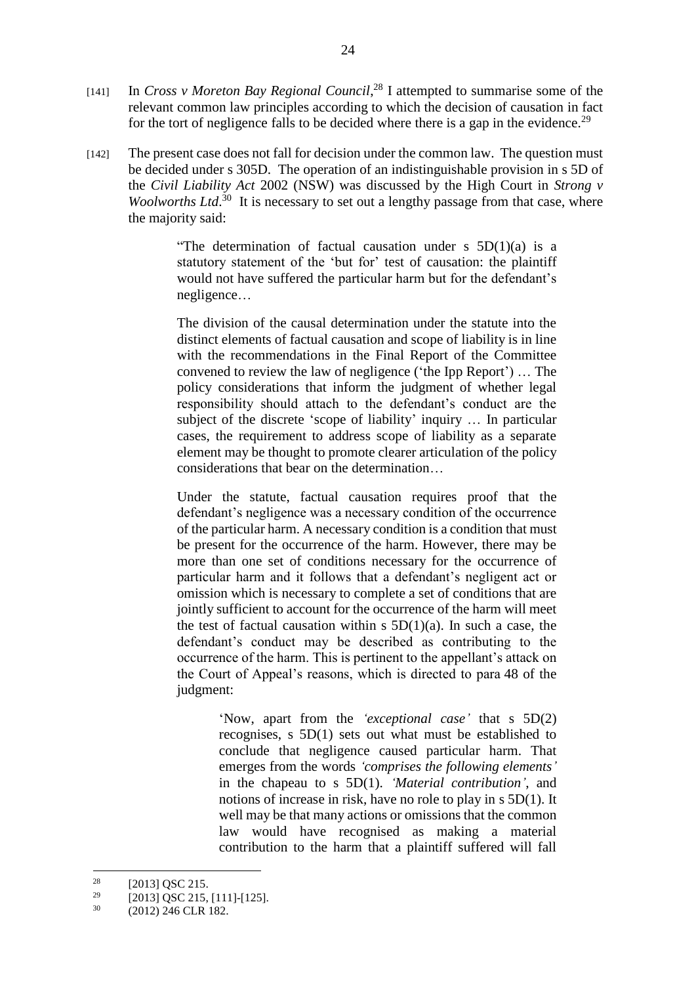- [141] In *Cross v Moreton Bay Regional Council*, <sup>28</sup> I attempted to summarise some of the relevant common law principles according to which the decision of causation in fact for the tort of negligence falls to be decided where there is a gap in the evidence.<sup>29</sup>
- [142] The present case does not fall for decision under the common law. The question must be decided under s 305D. The operation of an indistinguishable provision in s 5D of the *Civil Liability Act* 2002 (NSW) was discussed by the High Court in *Strong v Woolworths Ltd*.<sup>30</sup> It is necessary to set out a lengthy passage from that case, where the majority said:

"The determination of factual causation under s  $5D(1)(a)$  is a statutory statement of the 'but for' test of causation: the plaintiff would not have suffered the particular harm but for the defendant's negligence…

The division of the causal determination under the statute into the distinct elements of factual causation and scope of liability is in line with the recommendations in the Final Report of the Committee convened to review the law of negligence ('the Ipp Report') … The policy considerations that inform the judgment of whether legal responsibility should attach to the defendant's conduct are the subject of the discrete 'scope of liability' inquiry … In particular cases, the requirement to address scope of liability as a separate element may be thought to promote clearer articulation of the policy considerations that bear on the determination…

Under the statute, factual causation requires proof that the defendant's negligence was a necessary condition of the occurrence of the particular harm. A necessary condition is a condition that must be present for the occurrence of the harm. However, there may be more than one set of conditions necessary for the occurrence of particular harm and it follows that a defendant's negligent act or omission which is necessary to complete a set of conditions that are jointly sufficient to account for the occurrence of the harm will meet the test of factual causation within s  $5D(1)(a)$ . In such a case, the defendant's conduct may be described as contributing to the occurrence of the harm. This is pertinent to the appellant's attack on the Court of Appeal's reasons, which is directed to para 48 of the judgment:

> 'Now, apart from the *'exceptional case'* that s 5D(2) recognises, s 5D(1) sets out what must be established to conclude that negligence caused particular harm. That emerges from the words *'comprises the following elements'* in the chapeau to s 5D(1). *'Material contribution'*, and notions of increase in risk, have no role to play in s 5D(1). It well may be that many actions or omissions that the common law would have recognised as making a material contribution to the harm that a plaintiff suffered will fall

<u>.</u>

 $^{28}$  [2013] QSC 215.

<sup>&</sup>lt;sup>29</sup> [2013] QSC 215, [111]-[125].

<sup>30</sup> (2012) 246 CLR 182.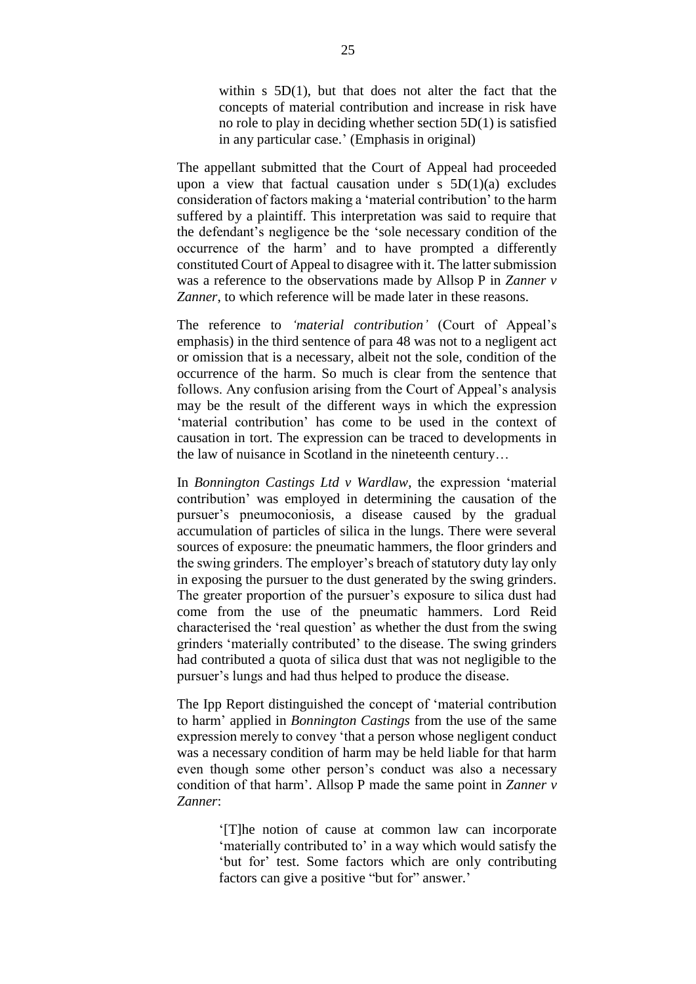within  $s$  5D(1), but that does not alter the fact that the concepts of material contribution and increase in risk have no role to play in deciding whether section 5D(1) is satisfied in any particular case.' (Emphasis in original)

The appellant submitted that the Court of Appeal had proceeded upon a view that factual causation under  $s$  5D(1)(a) excludes consideration of factors making a 'material contribution' to the harm suffered by a plaintiff. This interpretation was said to require that the defendant's negligence be the 'sole necessary condition of the occurrence of the harm' and to have prompted a differently constituted Court of Appeal to disagree with it. The latter submission was a reference to the observations made by Allsop P in *Zanner v Zanner*, to which reference will be made later in these reasons.

The reference to *'material contribution'* (Court of Appeal's emphasis) in the third sentence of para 48 was not to a negligent act or omission that is a necessary, albeit not the sole, condition of the occurrence of the harm. So much is clear from the sentence that follows. Any confusion arising from the Court of Appeal's analysis may be the result of the different ways in which the expression 'material contribution' has come to be used in the context of causation in tort. The expression can be traced to developments in the law of nuisance in Scotland in the nineteenth century…

In *Bonnington Castings Ltd v Wardlaw*, the expression 'material contribution' was employed in determining the causation of the pursuer's pneumoconiosis, a disease caused by the gradual accumulation of particles of silica in the lungs. There were several sources of exposure: the pneumatic hammers, the floor grinders and the swing grinders. The employer's breach of statutory duty lay only in exposing the pursuer to the dust generated by the swing grinders. The greater proportion of the pursuer's exposure to silica dust had come from the use of the pneumatic hammers. Lord Reid characterised the 'real question' as whether the dust from the swing grinders 'materially contributed' to the disease. The swing grinders had contributed a quota of silica dust that was not negligible to the pursuer's lungs and had thus helped to produce the disease.

The Ipp Report distinguished the concept of 'material contribution to harm' applied in *Bonnington Castings* from the use of the same expression merely to convey 'that a person whose negligent conduct was a necessary condition of harm may be held liable for that harm even though some other person's conduct was also a necessary condition of that harm'. Allsop P made the same point in *Zanner v Zanner*:

> '[T]he notion of cause at common law can incorporate 'materially contributed to' in a way which would satisfy the 'but for' test. Some factors which are only contributing factors can give a positive "but for" answer.'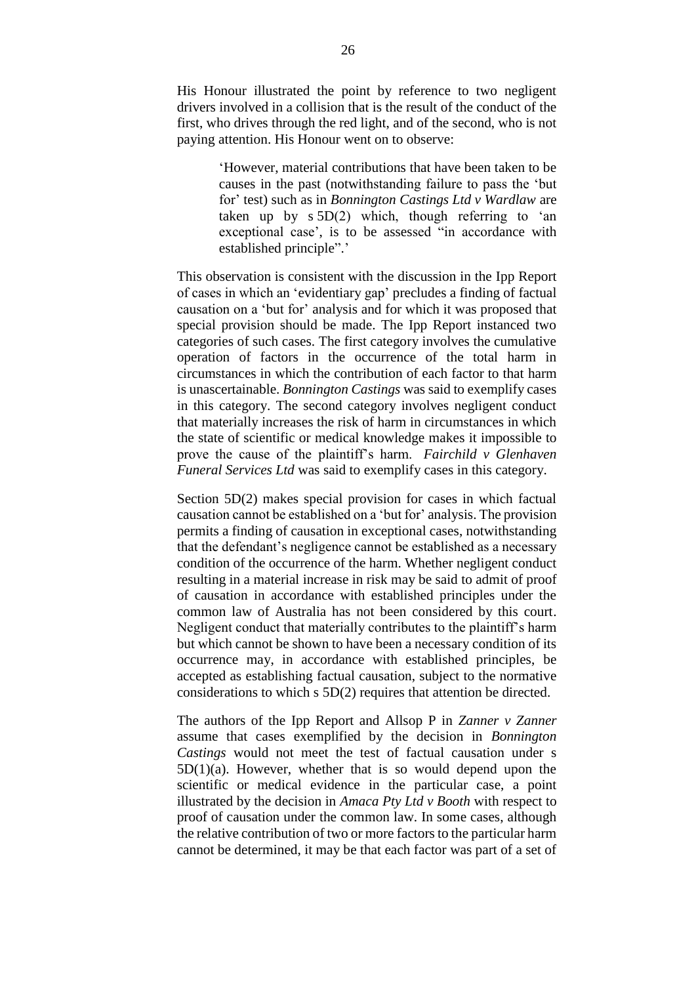His Honour illustrated the point by reference to two negligent drivers involved in a collision that is the result of the conduct of the first, who drives through the red light, and of the second, who is not paying attention. His Honour went on to observe:

> 'However, material contributions that have been taken to be causes in the past (notwithstanding failure to pass the 'but for' test) such as in *Bonnington Castings Ltd v Wardlaw* are taken up by  $s 5D(2)$  which, though referring to 'an exceptional case', is to be assessed "in accordance with established principle".'

This observation is consistent with the discussion in the Ipp Report of cases in which an 'evidentiary gap' precludes a finding of factual causation on a 'but for' analysis and for which it was proposed that special provision should be made. The Ipp Report instanced two categories of such cases. The first category involves the cumulative operation of factors in the occurrence of the total harm in circumstances in which the contribution of each factor to that harm is unascertainable. *Bonnington Castings* was said to exemplify cases in this category. The second category involves negligent conduct that materially increases the risk of harm in circumstances in which the state of scientific or medical knowledge makes it impossible to prove the cause of the plaintiff's harm. *Fairchild v Glenhaven Funeral Services Ltd* was said to exemplify cases in this category.

Section 5D(2) makes special provision for cases in which factual causation cannot be established on a 'but for' analysis. The provision permits a finding of causation in exceptional cases, notwithstanding that the defendant's negligence cannot be established as a necessary condition of the occurrence of the harm. Whether negligent conduct resulting in a material increase in risk may be said to admit of proof of causation in accordance with established principles under the common law of Australia has not been considered by this court. Negligent conduct that materially contributes to the plaintiff's harm but which cannot be shown to have been a necessary condition of its occurrence may, in accordance with established principles, be accepted as establishing factual causation, subject to the normative considerations to which s 5D(2) requires that attention be directed.

The authors of the Ipp Report and Allsop P in *Zanner v Zanner* assume that cases exemplified by the decision in *Bonnington Castings* would not meet the test of factual causation under s  $5D(1)(a)$ . However, whether that is so would depend upon the scientific or medical evidence in the particular case, a point illustrated by the decision in *Amaca Pty Ltd v Booth* with respect to proof of causation under the common law. In some cases, although the relative contribution of two or more factors to the particular harm cannot be determined, it may be that each factor was part of a set of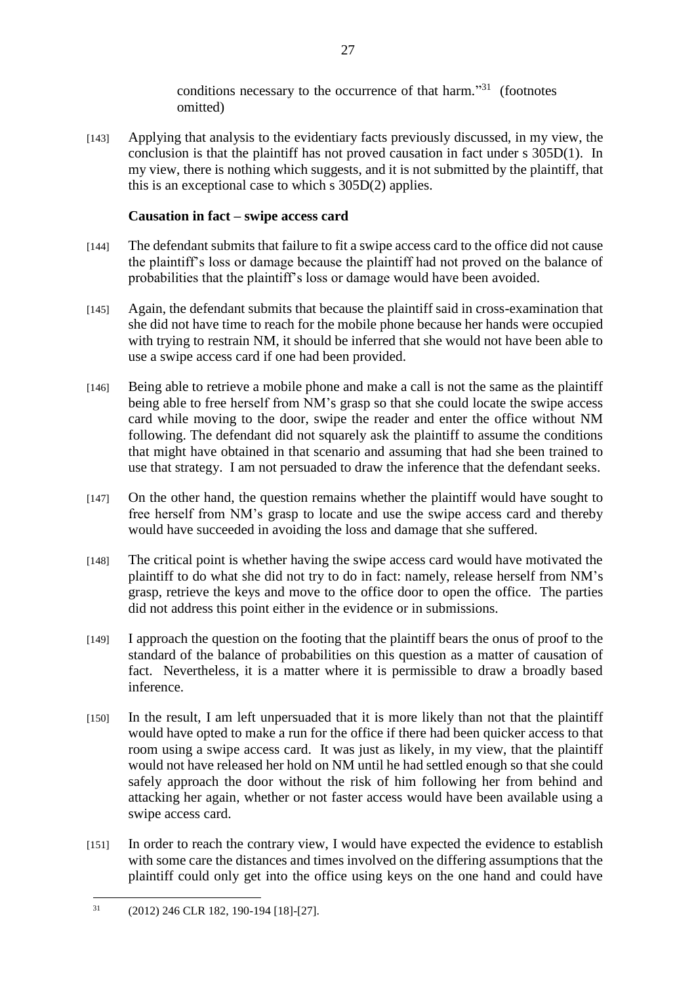conditions necessary to the occurrence of that harm."<sup>31</sup> (footnotes omitted)

[143] Applying that analysis to the evidentiary facts previously discussed, in my view, the conclusion is that the plaintiff has not proved causation in fact under s 305D(1). In my view, there is nothing which suggests, and it is not submitted by the plaintiff, that this is an exceptional case to which s 305D(2) applies.

# **Causation in fact – swipe access card**

- [144] The defendant submits that failure to fit a swipe access card to the office did not cause the plaintiff's loss or damage because the plaintiff had not proved on the balance of probabilities that the plaintiff's loss or damage would have been avoided.
- [145] Again, the defendant submits that because the plaintiff said in cross-examination that she did not have time to reach for the mobile phone because her hands were occupied with trying to restrain NM, it should be inferred that she would not have been able to use a swipe access card if one had been provided.
- [146] Being able to retrieve a mobile phone and make a call is not the same as the plaintiff being able to free herself from NM's grasp so that she could locate the swipe access card while moving to the door, swipe the reader and enter the office without NM following. The defendant did not squarely ask the plaintiff to assume the conditions that might have obtained in that scenario and assuming that had she been trained to use that strategy. I am not persuaded to draw the inference that the defendant seeks.
- [147] On the other hand, the question remains whether the plaintiff would have sought to free herself from NM's grasp to locate and use the swipe access card and thereby would have succeeded in avoiding the loss and damage that she suffered.
- [148] The critical point is whether having the swipe access card would have motivated the plaintiff to do what she did not try to do in fact: namely, release herself from NM's grasp, retrieve the keys and move to the office door to open the office. The parties did not address this point either in the evidence or in submissions.
- [149] I approach the question on the footing that the plaintiff bears the onus of proof to the standard of the balance of probabilities on this question as a matter of causation of fact. Nevertheless, it is a matter where it is permissible to draw a broadly based inference.
- [150] In the result, I am left unpersuaded that it is more likely than not that the plaintiff would have opted to make a run for the office if there had been quicker access to that room using a swipe access card. It was just as likely, in my view, that the plaintiff would not have released her hold on NM until he had settled enough so that she could safely approach the door without the risk of him following her from behind and attacking her again, whether or not faster access would have been available using a swipe access card.
- [151] In order to reach the contrary view, I would have expected the evidence to establish with some care the distances and times involved on the differing assumptions that the plaintiff could only get into the office using keys on the one hand and could have

<sup>1</sup> <sup>31</sup> (2012) 246 CLR 182, 190-194 [18]-[27].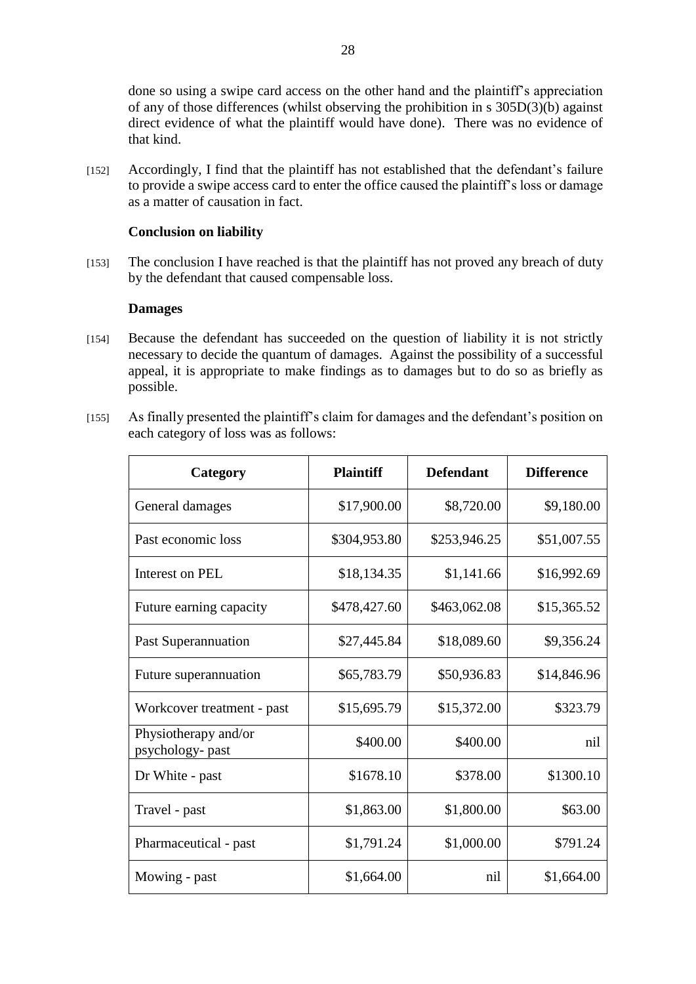done so using a swipe card access on the other hand and the plaintiff's appreciation of any of those differences (whilst observing the prohibition in s 305D(3)(b) against direct evidence of what the plaintiff would have done). There was no evidence of that kind.

[152] Accordingly, I find that the plaintiff has not established that the defendant's failure to provide a swipe access card to enter the office caused the plaintiff's loss or damage as a matter of causation in fact.

## **Conclusion on liability**

[153] The conclusion I have reached is that the plaintiff has not proved any breach of duty by the defendant that caused compensable loss.

#### **Damages**

- [154] Because the defendant has succeeded on the question of liability it is not strictly necessary to decide the quantum of damages. Against the possibility of a successful appeal, it is appropriate to make findings as to damages but to do so as briefly as possible.
- [155] As finally presented the plaintiff's claim for damages and the defendant's position on each category of loss was as follows:

| Category                                 | <b>Plaintiff</b> | <b>Defendant</b> | <b>Difference</b> |
|------------------------------------------|------------------|------------------|-------------------|
| General damages                          | \$17,900.00      | \$8,720.00       | \$9,180.00        |
| Past economic loss                       | \$304,953.80     | \$253,946.25     | \$51,007.55       |
| Interest on PEL                          | \$18,134.35      | \$1,141.66       | \$16,992.69       |
| Future earning capacity                  | \$478,427.60     | \$463,062.08     | \$15,365.52       |
| Past Superannuation                      | \$27,445.84      | \$18,089.60      | \$9,356.24        |
| Future superannuation                    | \$65,783.79      | \$50,936.83      | \$14,846.96       |
| Workcover treatment - past               | \$15,695.79      | \$15,372.00      | \$323.79          |
| Physiotherapy and/or<br>psychology- past | \$400.00         | \$400.00         | nil               |
| Dr White - past                          | \$1678.10        | \$378.00         | \$1300.10         |
| Travel - past                            | \$1,863.00       | \$1,800.00       | \$63.00           |
| Pharmaceutical - past                    | \$1,791.24       | \$1,000.00       | \$791.24          |
| Mowing - past                            | \$1,664.00       | nil              | \$1,664.00        |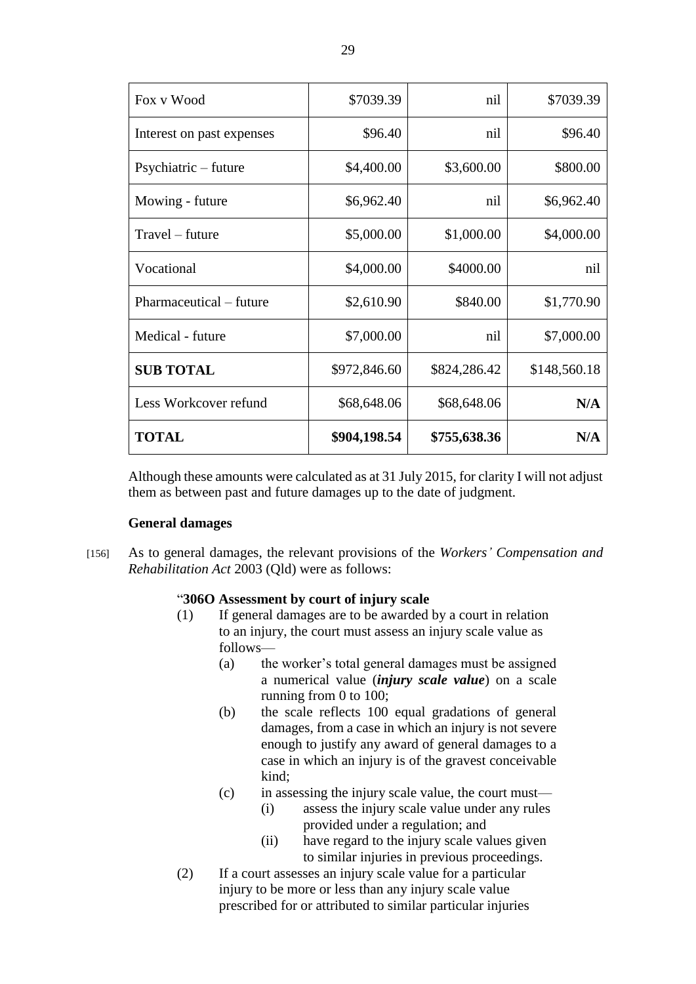| Fox v Wood                | \$7039.39    | nil          | \$7039.39    |
|---------------------------|--------------|--------------|--------------|
| Interest on past expenses | \$96.40      | nil          | \$96.40      |
| Psychiatric – future      | \$4,400.00   | \$3,600.00   | \$800.00     |
| Mowing - future           | \$6,962.40   | nil          | \$6,962.40   |
| $Travel - future$         | \$5,000.00   | \$1,000.00   | \$4,000.00   |
| Vocational                | \$4,000.00   | \$4000.00    | nil          |
| Pharmaceutical – future   | \$2,610.90   | \$840.00     | \$1,770.90   |
| Medical - future          | \$7,000.00   | nil          | \$7,000.00   |
| <b>SUB TOTAL</b>          | \$972,846.60 | \$824,286.42 | \$148,560.18 |
| Less Workcover refund     | \$68,648.06  | \$68,648.06  | N/A          |
| <b>TOTAL</b>              | \$904,198.54 | \$755,638.36 | N/A          |

Although these amounts were calculated as at 31 July 2015, for clarity I will not adjust them as between past and future damages up to the date of judgment.

## **General damages**

[156] As to general damages, the relevant provisions of the *Workers' Compensation and Rehabilitation Act* 2003 (Qld) were as follows:

#### "**306O Assessment by court of injury scale**

- (1) If general damages are to be awarded by a court in relation to an injury, the court must assess an injury scale value as follows—
	- (a) the worker's total general damages must be assigned a numerical value (*injury scale value*) on a scale running from 0 to 100;
	- (b) the scale reflects 100 equal gradations of general damages, from a case in which an injury is not severe enough to justify any award of general damages to a case in which an injury is of the gravest conceivable kind;
	- (c) in assessing the injury scale value, the court must—
		- (i) assess the injury scale value under any rules provided under a regulation; and
		- (ii) have regard to the injury scale values given to similar injuries in previous proceedings.
- (2) If a court assesses an injury scale value for a particular injury to be more or less than any injury scale value prescribed for or attributed to similar particular injuries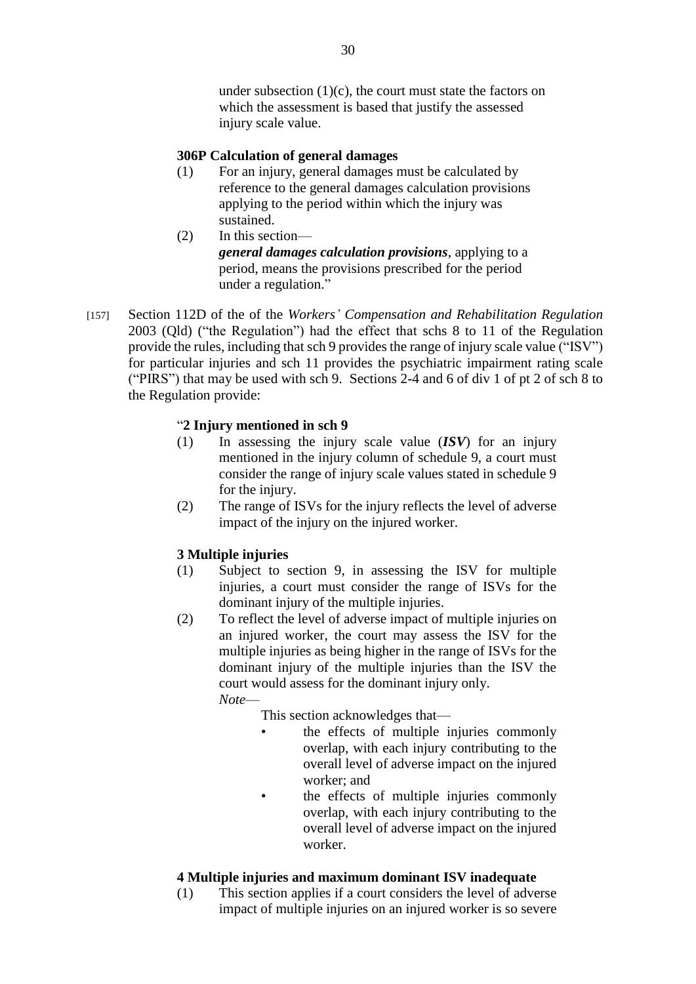under subsection  $(1)(c)$ , the court must state the factors on which the assessment is based that justify the assessed injury scale value.

## **306P Calculation of general damages**

- (1) For an injury, general damages must be calculated by reference to the general damages calculation provisions applying to the period within which the injury was sustained.
- (2) In this section *general damages calculation provisions*, applying to a period, means the provisions prescribed for the period under a regulation."
- [157] Section 112D of the of the *Workers' Compensation and Rehabilitation Regulation*  2003 (Qld) ("the Regulation") had the effect that schs 8 to 11 of the Regulation provide the rules, including that sch 9 provides the range of injury scale value ("ISV") for particular injuries and sch 11 provides the psychiatric impairment rating scale ("PIRS") that may be used with sch 9. Sections 2-4 and 6 of div 1 of pt 2 of sch 8 to the Regulation provide:

# "**2 Injury mentioned in sch 9**

- (1) In assessing the injury scale value (*ISV*) for an injury mentioned in the injury column of schedule 9, a court must consider the range of injury scale values stated in schedule 9 for the injury.
- (2) The range of ISVs for the injury reflects the level of adverse impact of the injury on the injured worker.

# **3 Multiple injuries**

- (1) Subject to section 9, in assessing the ISV for multiple injuries, a court must consider the range of ISVs for the dominant injury of the multiple injuries.
- (2) To reflect the level of adverse impact of multiple injuries on an injured worker, the court may assess the ISV for the multiple injuries as being higher in the range of ISVs for the dominant injury of the multiple injuries than the ISV the court would assess for the dominant injury only. *Note*—

This section acknowledges that—

- the effects of multiple injuries commonly overlap, with each injury contributing to the overall level of adverse impact on the injured worker; and
- the effects of multiple injuries commonly overlap, with each injury contributing to the overall level of adverse impact on the injured worker.

# **4 Multiple injuries and maximum dominant ISV inadequate**

(1) This section applies if a court considers the level of adverse impact of multiple injuries on an injured worker is so severe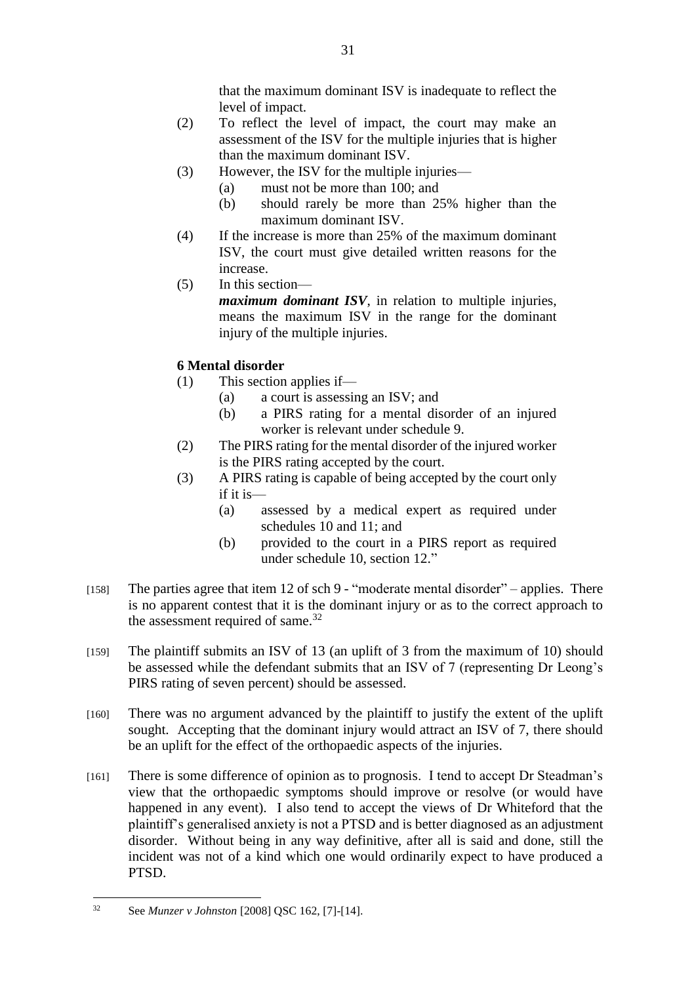that the maximum dominant ISV is inadequate to reflect the level of impact.

- (2) To reflect the level of impact, the court may make an assessment of the ISV for the multiple injuries that is higher than the maximum dominant ISV.
- (3) However, the ISV for the multiple injuries—
	- (a) must not be more than 100; and
	- (b) should rarely be more than 25% higher than the maximum dominant ISV.
- (4) If the increase is more than 25% of the maximum dominant ISV, the court must give detailed written reasons for the increase.
- (5) In this section—

*maximum dominant ISV*, in relation to multiple injuries, means the maximum ISV in the range for the dominant injury of the multiple injuries.

# **6 Mental disorder**

- (1) This section applies if—
	- (a) a court is assessing an ISV; and
	- (b) a PIRS rating for a mental disorder of an injured worker is relevant under schedule 9.
- (2) The PIRS rating for the mental disorder of the injured worker is the PIRS rating accepted by the court.
- (3) A PIRS rating is capable of being accepted by the court only if it is—
	- (a) assessed by a medical expert as required under schedules 10 and 11; and
	- (b) provided to the court in a PIRS report as required under schedule 10, section 12."
- [158] The parties agree that item 12 of sch 9 "moderate mental disorder" applies. There is no apparent contest that it is the dominant injury or as to the correct approach to the assessment required of same.<sup>32</sup>
- [159] The plaintiff submits an ISV of 13 (an uplift of 3 from the maximum of 10) should be assessed while the defendant submits that an ISV of 7 (representing Dr Leong's PIRS rating of seven percent) should be assessed.
- [160] There was no argument advanced by the plaintiff to justify the extent of the uplift sought. Accepting that the dominant injury would attract an ISV of 7, there should be an uplift for the effect of the orthopaedic aspects of the injuries.
- [161] There is some difference of opinion as to prognosis. I tend to accept Dr Steadman's view that the orthopaedic symptoms should improve or resolve (or would have happened in any event). I also tend to accept the views of Dr Whiteford that the plaintiff's generalised anxiety is not a PTSD and is better diagnosed as an adjustment disorder. Without being in any way definitive, after all is said and done, still the incident was not of a kind which one would ordinarily expect to have produced a PTSD.

<sup>1</sup> <sup>32</sup> See *Munzer v Johnston* [2008] QSC 162, [7]-[14].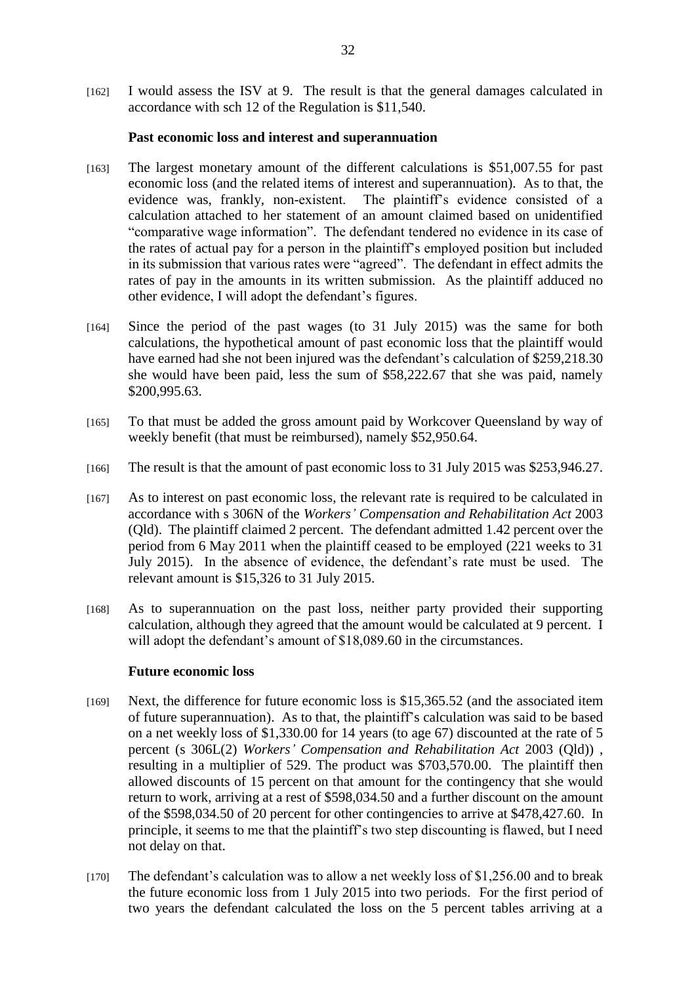[162] I would assess the ISV at 9. The result is that the general damages calculated in accordance with sch 12 of the Regulation is \$11,540.

#### **Past economic loss and interest and superannuation**

- [163] The largest monetary amount of the different calculations is \$51,007.55 for past economic loss (and the related items of interest and superannuation). As to that, the evidence was, frankly, non-existent. The plaintiff's evidence consisted of a calculation attached to her statement of an amount claimed based on unidentified "comparative wage information". The defendant tendered no evidence in its case of the rates of actual pay for a person in the plaintiff's employed position but included in its submission that various rates were "agreed". The defendant in effect admits the rates of pay in the amounts in its written submission. As the plaintiff adduced no other evidence, I will adopt the defendant's figures.
- [164] Since the period of the past wages (to 31 July 2015) was the same for both calculations, the hypothetical amount of past economic loss that the plaintiff would have earned had she not been injured was the defendant's calculation of \$259,218.30 she would have been paid, less the sum of \$58,222.67 that she was paid, namely \$200,995.63.
- [165] To that must be added the gross amount paid by Workcover Queensland by way of weekly benefit (that must be reimbursed), namely \$52,950.64.
- [166] The result is that the amount of past economic loss to 31 July 2015 was \$253,946.27.
- [167] As to interest on past economic loss, the relevant rate is required to be calculated in accordance with s 306N of the *Workers' Compensation and Rehabilitation Act* 2003 (Qld). The plaintiff claimed 2 percent. The defendant admitted 1.42 percent over the period from 6 May 2011 when the plaintiff ceased to be employed (221 weeks to 31 July 2015). In the absence of evidence, the defendant's rate must be used. The relevant amount is \$15,326 to 31 July 2015.
- [168] As to superannuation on the past loss, neither party provided their supporting calculation, although they agreed that the amount would be calculated at 9 percent. I will adopt the defendant's amount of \$18,089.60 in the circumstances.

#### **Future economic loss**

- [169] Next, the difference for future economic loss is \$15,365.52 (and the associated item of future superannuation). As to that, the plaintiff's calculation was said to be based on a net weekly loss of \$1,330.00 for 14 years (to age 67) discounted at the rate of 5 percent (s 306L(2) *Workers' Compensation and Rehabilitation Act* 2003 (Qld)) , resulting in a multiplier of 529. The product was \$703,570.00. The plaintiff then allowed discounts of 15 percent on that amount for the contingency that she would return to work, arriving at a rest of \$598,034.50 and a further discount on the amount of the \$598,034.50 of 20 percent for other contingencies to arrive at \$478,427.60. In principle, it seems to me that the plaintiff's two step discounting is flawed, but I need not delay on that.
- [170] The defendant's calculation was to allow a net weekly loss of \$1,256.00 and to break the future economic loss from 1 July 2015 into two periods. For the first period of two years the defendant calculated the loss on the 5 percent tables arriving at a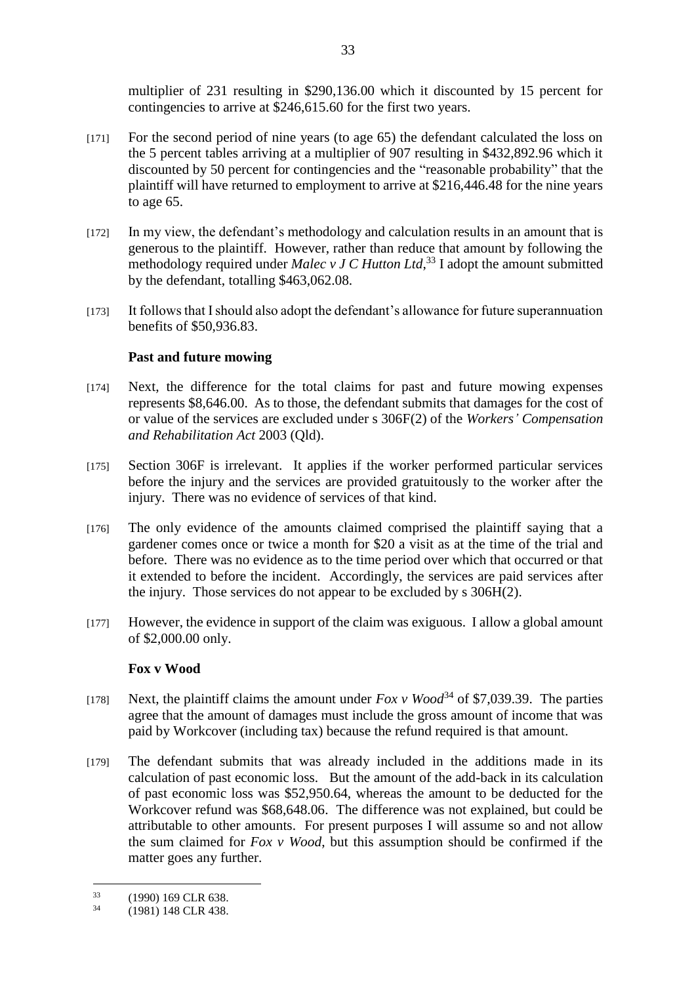multiplier of 231 resulting in \$290,136.00 which it discounted by 15 percent for contingencies to arrive at \$246,615.60 for the first two years.

- [171] For the second period of nine years (to age 65) the defendant calculated the loss on the 5 percent tables arriving at a multiplier of 907 resulting in \$432,892.96 which it discounted by 50 percent for contingencies and the "reasonable probability" that the plaintiff will have returned to employment to arrive at \$216,446.48 for the nine years to age 65.
- [172] In my view, the defendant's methodology and calculation results in an amount that is generous to the plaintiff. However, rather than reduce that amount by following the methodology required under *Malec v J C Hutton Ltd*, <sup>33</sup> I adopt the amount submitted by the defendant, totalling \$463,062.08.
- [173] It follows that I should also adopt the defendant's allowance for future superannuation benefits of \$50,936.83.

## **Past and future mowing**

- [174] Next, the difference for the total claims for past and future mowing expenses represents \$8,646.00. As to those, the defendant submits that damages for the cost of or value of the services are excluded under s 306F(2) of the *Workers' Compensation and Rehabilitation Act* 2003 (Qld).
- [175] Section 306F is irrelevant. It applies if the worker performed particular services before the injury and the services are provided gratuitously to the worker after the injury. There was no evidence of services of that kind.
- [176] The only evidence of the amounts claimed comprised the plaintiff saying that a gardener comes once or twice a month for \$20 a visit as at the time of the trial and before. There was no evidence as to the time period over which that occurred or that it extended to before the incident. Accordingly, the services are paid services after the injury. Those services do not appear to be excluded by s 306H(2).
- [177] However, the evidence in support of the claim was exiguous. I allow a global amount of \$2,000.00 only.

## **Fox v Wood**

- [178] Next, the plaintiff claims the amount under  $Fox$  v  $Wood^{34}$  of \$7,039.39. The parties agree that the amount of damages must include the gross amount of income that was paid by Workcover (including tax) because the refund required is that amount.
- [179] The defendant submits that was already included in the additions made in its calculation of past economic loss. But the amount of the add-back in its calculation of past economic loss was \$52,950.64, whereas the amount to be deducted for the Workcover refund was \$68,648.06. The difference was not explained, but could be attributable to other amounts. For present purposes I will assume so and not allow the sum claimed for *Fox v Wood*, but this assumption should be confirmed if the matter goes any further.

<sup>&</sup>lt;u>.</u>  $(1990)$  169 CLR 638.<br>  $(1081)$  148 CLR 428

<sup>34</sup> (1981) 148 CLR 438.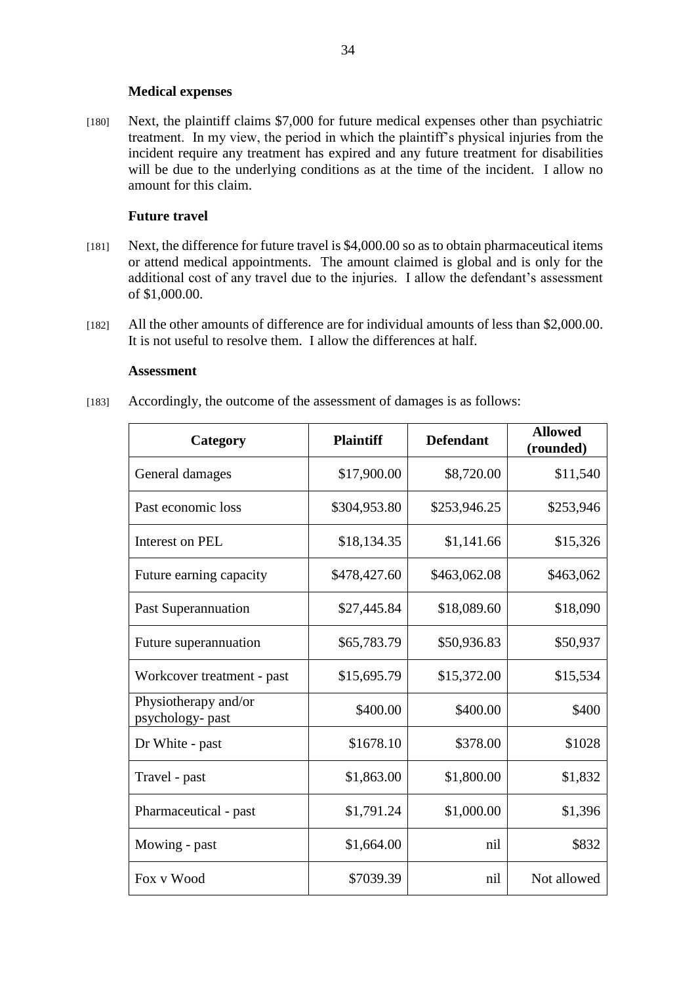#### **Medical expenses**

[180] Next, the plaintiff claims \$7,000 for future medical expenses other than psychiatric treatment. In my view, the period in which the plaintiff's physical injuries from the incident require any treatment has expired and any future treatment for disabilities will be due to the underlying conditions as at the time of the incident. I allow no amount for this claim.

## **Future travel**

- [181] Next, the difference for future travel is \$4,000.00 so as to obtain pharmaceutical items or attend medical appointments. The amount claimed is global and is only for the additional cost of any travel due to the injuries. I allow the defendant's assessment of \$1,000.00.
- [182] All the other amounts of difference are for individual amounts of less than \$2,000.00. It is not useful to resolve them. I allow the differences at half.

#### **Assessment**

[183] Accordingly, the outcome of the assessment of damages is as follows:

| Category                                 | <b>Plaintiff</b> | <b>Defendant</b> | <b>Allowed</b><br>(rounded) |
|------------------------------------------|------------------|------------------|-----------------------------|
| General damages                          | \$17,900.00      | \$8,720.00       | \$11,540                    |
| Past economic loss                       | \$304,953.80     | \$253,946.25     | \$253,946                   |
| Interest on PEL                          | \$18,134.35      | \$1,141.66       | \$15,326                    |
| Future earning capacity                  | \$478,427.60     | \$463,062.08     | \$463,062                   |
| Past Superannuation                      | \$27,445.84      | \$18,089.60      | \$18,090                    |
| Future superannuation                    | \$65,783.79      | \$50,936.83      | \$50,937                    |
| Workcover treatment - past               | \$15,695.79      | \$15,372.00      | \$15,534                    |
| Physiotherapy and/or<br>psychology- past | \$400.00         | \$400.00         | \$400                       |
| Dr White - past                          | \$1678.10        | \$378.00         | \$1028                      |
| Travel - past                            | \$1,863.00       | \$1,800.00       | \$1,832                     |
| Pharmaceutical - past                    | \$1,791.24       | \$1,000.00       | \$1,396                     |
| Mowing - past                            | \$1,664.00       | nil              | \$832                       |
| Fox v Wood                               | \$7039.39        | nil              | Not allowed                 |